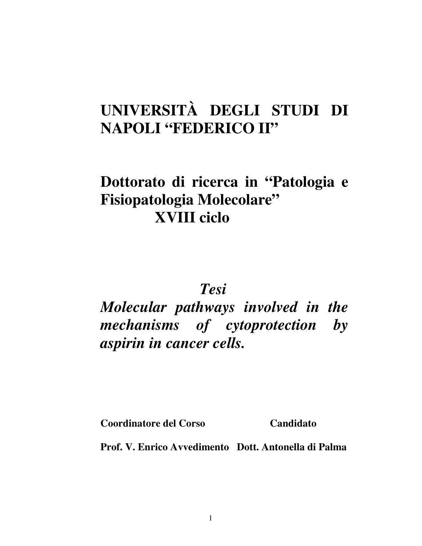# **UNIVERSITÀ DEGLI STUDI DI NAPOLI "FEDERICO II"**

# **Dottorato di ricerca in "Patologia e Fisiopatologia Molecolare" XVIII ciclo**

 *Tesi* 

*Molecular pathways involved in the mechanisms of cytoprotection by aspirin in cancer cells.* 

**Coordinatore del Corso Candidato** 

**Prof. V. Enrico Avvedimento Dott. Antonella di Palma**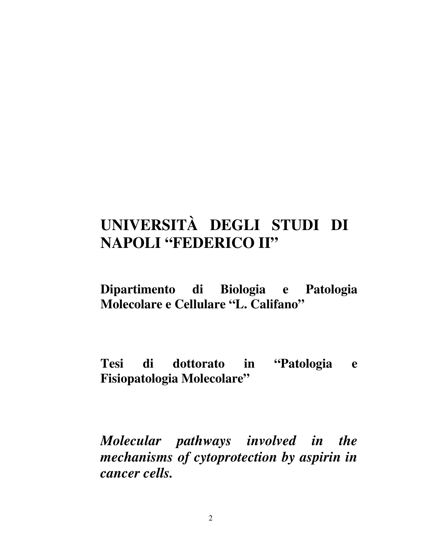# **UNIVERSITÀ DEGLI STUDI DI NAPOLI "FEDERICO II"**

**Dipartimento di Biologia e Patologia Molecolare e Cellulare "L. Califano"** 

**Tesi di dottorato in "Patologia e Fisiopatologia Molecolare"** 

*Molecular pathways involved in the mechanisms of cytoprotection by aspirin in cancer cells.* 

2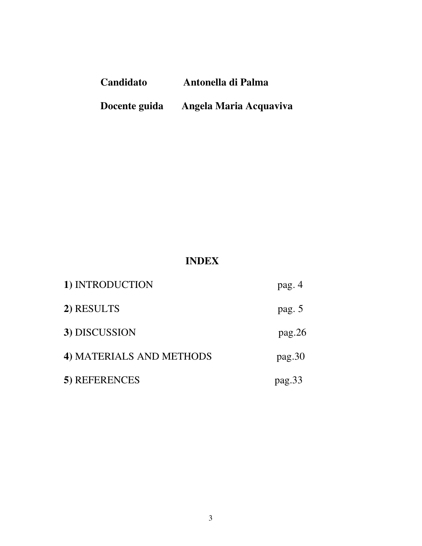| Candidato     | Antonella di Palma     |  |  |
|---------------|------------------------|--|--|
| Docente guida | Angela Maria Acquaviva |  |  |

# **INDEX**

| 1) INTRODUCTION          | pag. 4 |
|--------------------------|--------|
| 2) RESULTS               | pag. 5 |
| 3) DISCUSSION            | pag.26 |
| 4) MATERIALS AND METHODS | pag.30 |
| 5) REFERENCES            | pag.33 |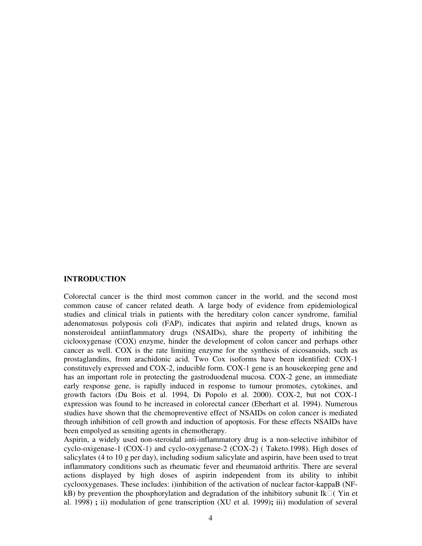### **INTRODUCTION**

Colorectal cancer is the third most common cancer in the world, and the second most common cause of cancer related death. A large body of evidence from epidemiological studies and clinical trials in patients with the hereditary colon cancer syndrome, familial adenomatosus polyposis coli (FAP), indicates that aspirin and related drugs, known as nonsteroideal antiinflammatory drugs (NSAIDs), share the property of inhibiting the ciclooxygenase (COX) enzyme, hinder the development of colon cancer and perhaps other cancer as well. COX is the rate limiting enzyme for the synthesis of eicosanoids, such as prostaglandins, from arachidonic acid. Two Cox isoforms have been identified: COX-1 constituvely expressed and COX-2, inducible form. COX-1 gene is an housekeeping gene and has an important role in protecting the gastroduodenal mucosa. COX-2 gene, an immediate early response gene, is rapidly induced in response to tumour promotes, cytokines, and growth factors (Du Bois et al. 1994, Di Popolo et al. 2000). COX-2, but not COX-1 expression was found to be increased in colorectal cancer (Eberhart et al. 1994). Numerous studies have shown that the chemopreventive effect of NSAIDs on colon cancer is mediated through inhibition of cell growth and induction of apoptosis. For these effects NSAIDs have been empolyed as sensiting agents in chemotherapy.

Aspirin, a widely used non-steroidal anti-inflammatory drug is a non-selective inhibitor of cyclo-oxigenase-1 (COX-1) and cyclo-oxygenase-2 (COX-2) ( Taketo.1998). High doses of salicylates (4 to 10 g per day), including sodium salicylate and aspirin, have been used to treat inflammatory conditions such as rheumatic fever and rheumatoid arthritis. There are several actions displayed by high doses of aspirin independent from its ability to inhibit cyclooxygenases. These includes: i)inhibition of the activation of nuclear factor-kappaB (NF $k$ B) by prevention the phosphorylation and degradation of the inhibitory subunit Ik (Yin et al. 1998) **;** ii) modulation of gene transcription (XU et al. 1999)**;** iii) modulation of several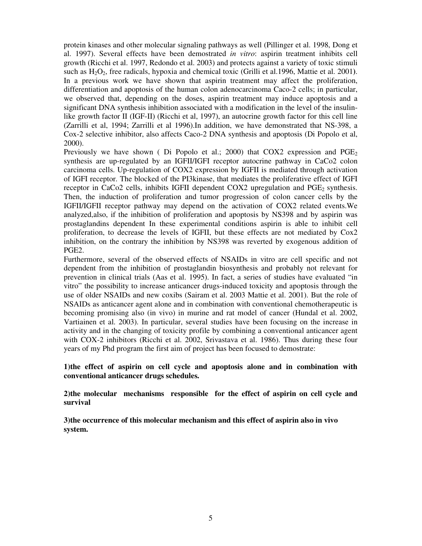protein kinases and other molecular signaling pathways as well (Pillinger et al. 1998, Dong et al. 1997). Several effects have been demostrated *in vitro*: aspirin treatment inhibits cell growth (Ricchi et al. 1997, Redondo et al. 2003) and protects against a variety of toxic stimuli such as H2O2, free radicals, hypoxia and chemical toxic (Grilli et al.1996, Mattie et al. 2001**)**. In a previous work we have shown that aspirin treatment may affect the proliferation, differentiation and apoptosis of the human colon adenocarcinoma Caco-2 cells; in particular, we observed that, depending on the doses, aspirin treatment may induce apoptosis and a significant DNA synthesis inhibition associated with a modification in the level of the insulinlike growth factor II (IGF-II) (Ricchi et al, 1997), an autocrine growth factor for this cell line (Zarrilli et al, 1994; Zarrilli et al 1996).In addition, we have demonstrated that NS-398, a Cox-2 selective inhibitor, also affects Caco-2 DNA synthesis and apoptosis (Di Popolo et al, 2000).

Previously we have shown ( Di Popolo et al.; 2000) that COX2 expression and  $PGE<sub>2</sub>$ synthesis are up-regulated by an IGFII/IGFI receptor autocrine pathway in CaCo2 colon carcinoma cells. Up-regulation of COX2 expression by IGFII is mediated through activation of IGFI receptor. The blocked of the PI3kinase, that mediates the proliferative effect of IGFI receptor in CaCo2 cells, inhibits IGFII dependent COX2 upregulation and  $PGE_2$  synthesis. Then, the induction of proliferation and tumor progression of colon cancer cells by the IGFII/IGFII receptor pathway may depend on the activation of COX2 related events.We analyzed,also, if the inhibition of proliferation and apoptosis by NS398 and by aspirin was prostaglandins dependent In these experimental conditions aspirin is able to inhibit cell proliferation, to decrease the levels of IGFII, but these effects are not mediated by Cox2 inhibition, on the contrary the inhibition by NS398 was reverted by exogenous addition of PGE2.

Furthermore, several of the observed effects of NSAIDs in vitro are cell specific and not dependent from the inhibition of prostaglandin biosynthesis and probably not relevant for prevention in clinical trials (Aas et al. 1995). In fact, a series of studies have evaluated "in vitro" the possibility to increase anticancer drugs-induced toxicity and apoptosis through the use of older NSAIDs and new coxibs (Sairam et al. 2003 Mattie et al. 2001). But the role of NSAIDs as anticancer agent alone and in combination with conventional chemotherapeutic is becoming promising also (in vivo) in murine and rat model of cancer (Hundal et al. 2002, Vartiainen et al. 2003). In particular, several studies have been focusing on the increase in activity and in the changing of toxicity profile by combining a conventional anticancer agent with COX-2 inhibitors (Ricchi et al. 2002, Srivastava et al. 1986). Thus during these four years of my Phd program the first aim of project has been focused to demostrate:

**1)the effect of aspirin on cell cycle and apoptosis alone and in combination with conventional anticancer drugs schedules.** 

**2)the molecular mechanisms responsible for the effect of aspirin on cell cycle and survival** 

**3)the occurrence of this molecular mechanism and this effect of aspirin also in vivo system.**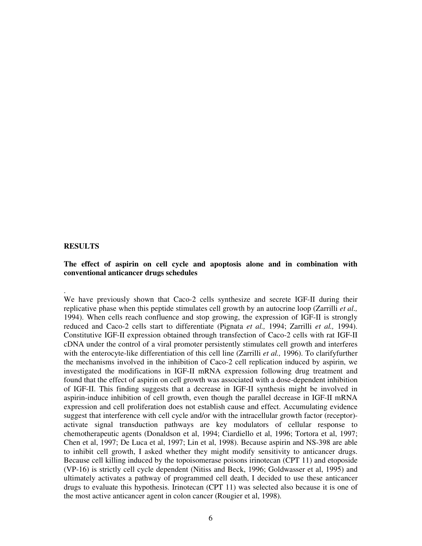# **RESULTS**

.

# **The effect of aspirin on cell cycle and apoptosis alone and in combination with conventional anticancer drugs schedules**

We have previously shown that Caco-2 cells synthesize and secrete IGF-II during their replicative phase when this peptide stimulates cell growth by an autocrine loop (Zarrilli *et al.,*  1994). When cells reach confluence and stop growing, the expression of IGF-II is strongly reduced and Caco-2 cells start to differentiate (Pignata *et al.,* 1994; Zarrilli *et al.,* 1994). Constitutive IGF-II expression obtained through transfection of Caco-2 cells with rat IGF-II cDNA under the control of a viral promoter persistently stimulates cell growth and interferes with the enterocyte-like differentiation of this cell line (Zarrilli *et al.,* 1996). To clarifyfurther the mechanisms involved in the inhibition of Caco-2 cell replication induced by aspirin, we investigated the modifications in IGF-II mRNA expression following drug treatment and found that the effect of aspirin on cell growth was associated with a dose-dependent inhibition of IGF-II. This finding suggests that a decrease in IGF-II synthesis might be involved in aspirin-induce inhibition of cell growth, even though the parallel decrease in IGF-II mRNA expression and cell proliferation does not establish cause and effect. Accumulating evidence suggest that interference with cell cycle and/or with the intracellular growth factor (receptor) activate signal transduction pathways are key modulators of cellular response to chemotherapeutic agents (Donaldson et al, 1994; Ciardiello et al, 1996; Tortora et al, 1997; Chen et al, 1997; De Luca et al, 1997; Lin et al, 1998). Because aspirin and NS-398 are able to inhibit cell growth, I asked whether they might modify sensitivity to anticancer drugs. Because cell killing induced by the topoisomerase poisons irinotecan (CPT 11) and etoposide (VP-16) is strictly cell cycle dependent (Nitiss and Beck, 1996; Goldwasser et al, 1995) and ultimately activates a pathway of programmed cell death, I decided to use these anticancer drugs to evaluate this hypothesis. Irinotecan (CPT 11) was selected also because it is one of the most active anticancer agent in colon cancer (Rougier et al, 1998).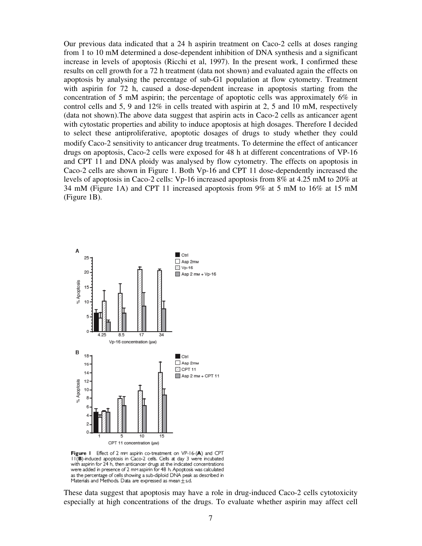Our previous data indicated that a 24 h aspirin treatment on Caco-2 cells at doses ranging from 1 to 10 mM determined a dose-dependent inhibition of DNA synthesis and a significant increase in levels of apoptosis (Ricchi et al, 1997). In the present work, I confirmed these results on cell growth for a 72 h treatment (data not shown) and evaluated again the effects on apoptosis by analysing the percentage of sub-G1 population at flow cytometry. Treatment with aspirin for 72 h, caused a dose-dependent increase in apoptosis starting from the concentration of 5 mM aspirin; the percentage of apoptotic cells was approximately 6% in control cells and 5, 9 and 12% in cells treated with aspirin at 2, 5 and 10 mM, respectively (data not shown).The above data suggest that aspirin acts in Caco-2 cells as anticancer agent with cytostatic properties and ability to induce apoptosis at high dosages. Therefore I decided to select these antiproliferative, apoptotic dosages of drugs to study whether they could modify Caco-2 sensitivity to anticancer drug treatments. To determine the effect of anticancer drugs on apoptosis, Caco-2 cells were exposed for 48 h at different concentrations of VP-16 and CPT 11 and DNA ploidy was analysed by flow cytometry. The effects on apoptosis in Caco-2 cells are shown in Figure 1. Both Vp-16 and CPT 11 dose-dependently increased the levels of apoptosis in Caco-2 cells: Vp-16 increased apoptosis from 8% at 4.25 mM to 20% at 34 mM (Figure 1A) and CPT 11 increased apoptosis from 9% at 5 mM to 16% at 15 mM (Figure 1B).



Figure I Effect of 2 mm aspirin co-treatment on VP-16-(A) and CPT II(B)-induced apoptosis in Caco-2 cells. Cells at day 3 were incubated with aspirin for 24 h, then anticancer drugs at the indicated concentrations were added in presence of 2 mm aspirin for 48 h. Apoptosis was calculated as the percentage of cells showing a sub-diploid DNA peak as described in Materials and Methods. Data are expressed as mean  $\pm$  s.d.

These data suggest that apoptosis may have a role in drug-induced Caco-2 cells cytotoxicity especially at high concentrations of the drugs. To evaluate whether aspirin may affect cell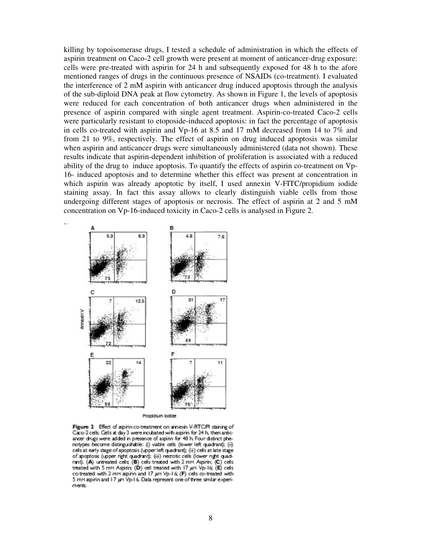killing by topoisomerase drugs, I tested a schedule of administration in which the effects of aspirin treatment on Caco-2 cell growth were present at moment of anticancer-drug exposure: cells were pre-treated with aspirin for 24 h and subsequently exposed for 48 h to the afore mentioned ranges of drugs in the continuous presence of NSAIDs (co-treatment). I evaluated the interference of 2 mM aspirin with anticancer drug induced apoptosis through the analysis of the sub-diploid DNA peak at flow cytometry. As shown in Figure 1, the levels of apoptosis were reduced for each concentration of both anticancer drugs when administered in the presence of aspirin compared with single agent treatment. Aspirin-co-treated Caco-2 cells were particularly resistant to etoposide-induced apoptosis: in fact the percentage of apoptosis in cells co-treated with aspirin and Vp-16 at 8.5 and 17 mM decreased from 14 to 7% and from 21 to 9%, respectively. The effect of aspirin on drug induced apoptosis was similar when aspirin and anticancer drugs were simultaneously administered (data not shown). These results indicate that aspirin-dependent inhibition of proliferation is associated with a reduced ability of the drug to induce apoptosis. To quantify the effects of aspirin co-treatment on Vp-16- induced apoptosis and to determine whether this effect was present at concentration in which aspirin was already apoptotic by itself, I used annexin V-FITC/propidium iodide staining assay. In fact this assay allows to clearly distinguish viable cells from those undergoing different stages of apoptosis or necrosis. The effect of aspirin at 2 and 5 mM concentration on Vp-16-induced toxicity in Caco-2 cells is analysed in Figure 2.



Propidium lodide

Figure 2 Effect of aspirin co-treatment on annexin V-RTC/PI staining of Caco-2 cells. Cells at day 3 were incubated with aspirin for 24 h, then antioancer drugs were added in presence of aspirin for 48 h. Four distinct phenotypes become distinguishable: (i) viable cells (lower left quadrant); (ii) cels at early stage of apoptosis (upper left quadrant); (ii) cels at late stage of apoptosis (upper right quadrant); (iii) necrotic cells (lower right quadrant). (A) untreated cels: (B) cels treated with 2 mM Aspirin; (C) cels treated with 5 mM Aspirin; (D) cell treated with 17 µM Vp-16; (E) cels co-treated with 2 mM aspirin and 17 µM Vp-1 & (F) cells co-treated with 5 mM aspirin and 17 uM Vp-16. Data represent one of three similar experiments.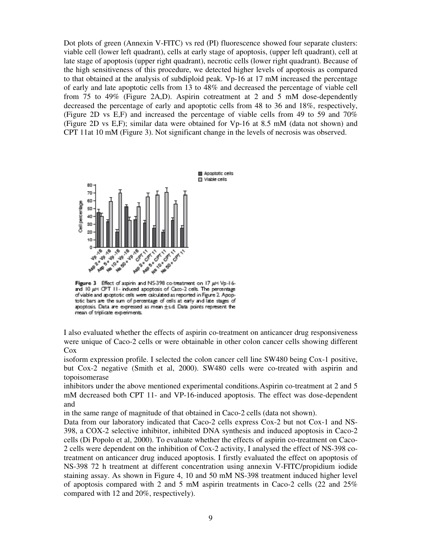Dot plots of green (Annexin V-FITC) vs red (PI) fluorescence showed four separate clusters: viable cell (lower left quadrant), cells at early stage of apoptosis, (upper left quadrant), cell at late stage of apoptosis (upper right quadrant), necrotic cells (lower right quadrant). Because of the high sensitiveness of this procedure, we detected higher levels of apoptosis as compared to that obtained at the analysis of subdiploid peak. Vp-16 at 17 mM increased the percentage of early and late apoptotic cells from 13 to 48% and decreased the percentage of viable cell from 75 to 49% (Figure 2A,D). Aspirin cotreatment at 2 and 5 mM dose-dependently decreased the percentage of early and apoptotic cells from 48 to 36 and 18%, respectively, (Figure 2D vs E,F) and increased the percentage of viable cells from 49 to 59 and 70% (Figure 2D vs E,F); similar data were obtained for Vp-16 at 8.5 mM (data not shown) and CPT 11at 10 mM (Figure 3). Not significant change in the levels of necrosis was observed.



Figure 3 Effect of aspirin and NS-398 co-treatment on 17 µM Vp-16and 10 um CPT 11- induced apoptosis of Caco-2 cells. The percentage of viable and apoptotic cells were calculated as reported in Figure 2. Apoptotic bars are the sum of percentage of cells at early and late stages of apoptosis. Data are expressed as mean  $\pm$ s.d. Data points represent the mean of triplicate experiments.

I also evaluated whether the effects of aspirin co-treatment on anticancer drug responsiveness were unique of Caco-2 cells or were obtainable in other colon cancer cells showing different Cox

isoform expression profile. I selected the colon cancer cell line SW480 being Cox-1 positive, but Cox-2 negative (Smith et al, 2000). SW480 cells were co-treated with aspirin and topoisomerase

inhibitors under the above mentioned experimental conditions.Aspirin co-treatment at 2 and 5 mM decreased both CPT 11- and VP-16-induced apoptosis. The effect was dose-dependent and

in the same range of magnitude of that obtained in Caco-2 cells (data not shown).

Data from our laboratory indicated that Caco-2 cells express Cox-2 but not Cox-1 and NS-398, a COX-2 selective inhibitor, inhibited DNA synthesis and induced apoptosis in Caco-2 cells (Di Popolo et al, 2000). To evaluate whether the effects of aspirin co-treatment on Caco-2 cells were dependent on the inhibition of Cox-2 activity, I analysed the effect of NS-398 cotreatment on anticancer drug induced apoptosis. I firstly evaluated the effect on apoptosis of NS-398 72 h treatment at different concentration using annexin V-FITC/propidium iodide staining assay. As shown in Figure 4, 10 and 50 mM NS-398 treatment induced higher level of apoptosis compared with 2 and 5 mM aspirin treatments in Caco-2 cells (22 and 25% compared with 12 and 20%, respectively).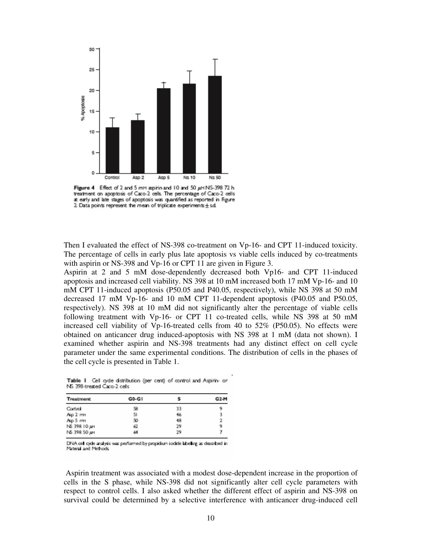

Figure 4 Effect of 2 and 5 mM aspirin and 10 and 50 µM NS-398 72 h treatment on apoptosis of Caco-2 cells. The percentage of Caco-2 cells at early and late stages of apoptosis was quantified as reported in figure 2. Data points represent the mean of triplicate experiments  $\pm$  s.d.

Then I evaluated the effect of NS-398 co-treatment on Vp-16- and CPT 11-induced toxicity. The percentage of cells in early plus late apoptosis vs viable cells induced by co-treatments with aspirin or NS-398 and Vp-16 or CPT 11 are given in Figure 3.

Aspirin at 2 and 5 mM dose-dependently decreased both Vp16- and CPT 11-induced apoptosis and increased cell viability. NS 398 at 10 mM increased both 17 mM Vp-16- and 10 mM CPT 11-induced apoptosis (P50.05 and P40.05, respectively), while NS 398 at 50 mM decreased 17 mM Vp-16- and 10 mM CPT 11-dependent apoptosis (P40.05 and P50.05, respectively). NS 398 at 10 mM did not significantly alter the percentage of viable cells following treatment with Vp-16- or CPT 11 co-treated cells, while NS 398 at 50 mM increased cell viability of Vp-16-treated cells from 40 to 52% (P50.05). No effects were obtained on anticancer drug induced-apoptosis with NS 398 at 1 mM (data not shown). I examined whether aspirin and NS-398 treatments had any distinct effect on cell cycle parameter under the same experimental conditions. The distribution of cells in the phases of the cell cycle is presented in Table 1.

| Treatment    | G0-G1 |    | G <sub>2</sub> -M |
|--------------|-------|----|-------------------|
| Control      | 58    | 33 |                   |
| Asp 2 mm     | 51    | 46 |                   |
| Asp 5 mm     | 50    | 48 |                   |
| NS 398 10 uH | 62    | 29 |                   |
| NS 398 50 um | ы     | 29 |                   |

Table 1 Cel cyde distribution (per cent) of control and Aspirin- or NS 398 treated Caco-2 cels

DNA cell cyde analysis was performed by propidium i odide labelling as described in Material and Methods

 Aspirin treatment was associated with a modest dose-dependent increase in the proportion of cells in the S phase, while NS-398 did not significantly alter cell cycle parameters with respect to control cells. I also asked whether the different effect of aspirin and NS-398 on survival could be determined by a selective interference with anticancer drug-induced cell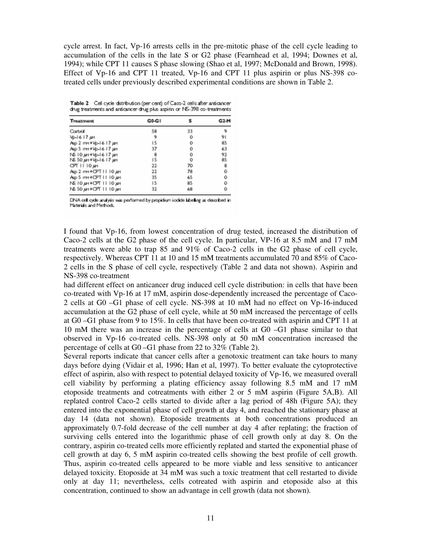cycle arrest. In fact, Vp-16 arrests cells in the pre-mitotic phase of the cell cycle leading to accumulation of the cells in the late S or G2 phase (Fearnhead et al, 1994; Downes et al, 1994); while CPT 11 causes S phase slowing (Shao et al, 1997; McDonald and Brown, 1998). Effect of Vp-16 and CPT 11 treated, Vp-16 and CPT 11 plus aspirin or plus NS-398 cotreated cells under previously described experimental conditions are shown in Table 2.

Table 2 Cell cycle distribution (per cent) of Caco-2 cells after anticancer drug treatments and anticancer drug plus aspirin or NS-398 co-treatments

| Treatment               | G0-G1 |    | G2-M |
|-------------------------|-------|----|------|
| Control                 | 58    | 33 |      |
| №-1617 дн               | 9     | o  | 91   |
| Asp 2 mm +Vp-16 17 pm   | 15    | ٥  | 85   |
| Asp 5 mm +Vp-16 17 um   | 37    | ٥  | 63   |
| NS 10 pm +Vp-16 17 pm   | 8     | ō  | 92   |
| NS 50 un+Vp-16 17 un    | 15    | ö  | 85   |
| ОРТ II 10 дн            | 22    | 70 | 8    |
| Asp 2 mm + OPT 11 10 um | 22    | 78 | ٥    |
| Asp 5 mm + CPT III 0 µm | 35    | 65 | ö    |
| NS 10 дн+ОРТ III0 дн    | 15    | 85 | ö    |
| NS 50 AM + CPT 11 10 AM | 32    | 68 | o    |

DNA cell cycle analysis was performed by propidium iodide labeling as described in Materials and Methods.

I found that Vp-16, from lowest concentration of drug tested, increased the distribution of Caco-2 cells at the G2 phase of the cell cycle. In particular, VP-16 at 8.5 mM and 17 mM treatments were able to trap 85 and 91% of Caco-2 cells in the G2 phase of cell cycle, respectively. Whereas CPT 11 at 10 and 15 mM treatments accumulated 70 and 85% of Caco-2 cells in the S phase of cell cycle, respectively (Table 2 and data not shown). Aspirin and NS-398 co-treatment

had different effect on anticancer drug induced cell cycle distribution: in cells that have been co-treated with Vp-16 at 17 mM, aspirin dose-dependently increased the percentage of Caco-2 cells at G0 –G1 phase of cell cycle. NS-398 at 10 mM had no effect on Vp-16-induced accumulation at the G2 phase of cell cycle, while at 50 mM increased the percentage of cells at G0 –G1 phase from 9 to 15%. In cells that have been co-treated with aspirin and CPT 11 at 10 mM there was an increase in the percentage of cells at G0 –G1 phase similar to that observed in Vp-16 co-treated cells. NS-398 only at 50 mM concentration increased the percentage of cells at G0 –G1 phase from 22 to 32% (Table 2).

Several reports indicate that cancer cells after a genotoxic treatment can take hours to many days before dying (Vidair et al, 1996; Han et al, 1997). To better evaluate the cytoprotective effect of aspirin, also with respect to potential delayed toxicity of Vp-16, we measured overall cell viability by performing a plating efficiency assay following 8.5 mM and 17 mM etoposide treatments and cotreatments with either 2 or 5 mM aspirin (Figure 5A,B). All replated control Caco-2 cells started to divide after a lag period of 48h (Figure 5A); they entered into the exponential phase of cell growth at day 4, and reached the stationary phase at day 14 (data not shown). Etoposide treatments at both concentrations produced an approximately 0.7-fold decrease of the cell number at day 4 after replating; the fraction of surviving cells entered into the logarithmic phase of cell growth only at day 8. On the contrary, aspirin co-treated cells more efficiently replated and started the exponential phase of cell growth at day 6, 5 mM aspirin co-treated cells showing the best profile of cell growth. Thus, aspirin co-treated cells appeared to be more viable and less sensitive to anticancer delayed toxicity. Etoposide at 34 mM was such a toxic treatment that cell restarted to divide only at day 11; nevertheless, cells cotreated with aspirin and etoposide also at this concentration, continued to show an advantage in cell growth (data not shown).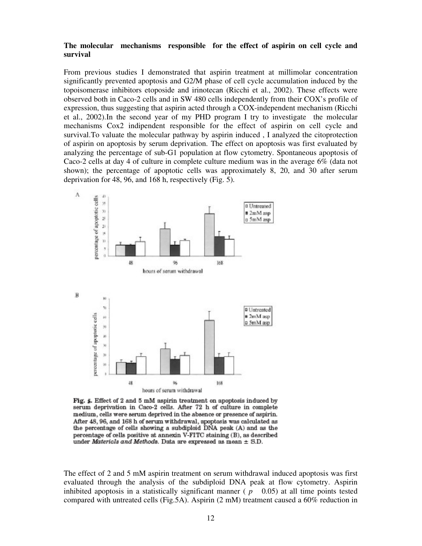# **The molecular mechanisms responsible for the effect of aspirin on cell cycle and survival**

From previous studies I demonstrated that aspirin treatment at millimolar concentration significantly prevented apoptosis and G2/M phase of cell cycle accumulation induced by the topoisomerase inhibitors etoposide and irinotecan (Ricchi et al., 2002). These effects were observed both in Caco-2 cells and in SW 480 cells independently from their COX's profile of expression, thus suggesting that aspirin acted through a COX-independent mechanism (Ricchi et al., 2002).In the second year of my PHD program I try to investigate the molecular mechanisms Cox2 indipendent responsible for the effect of aspirin on cell cycle and survival.To valuate the molecular pathway by aspirin induced , I analyzed the citoprotection of aspirin on apoptosis by serum deprivation. The effect on apoptosis was first evaluated by analyzing the percentage of sub-G1 population at flow cytometry. Spontaneous apoptosis of Caco-2 cells at day 4 of culture in complete culture medium was in the average 6% (data not shown); the percentage of apoptotic cells was approximately 8, 20, and 30 after serum deprivation for 48, 96, and 168 h, respectively (Fig. 5).



Fig. 5. Effect of 2 and 5 mM aspirin treatment on apoptosis induced by serum deprivation in Caco-2 cells. After 72 h of culture in complete medium, cells were serum deprived in the absence or presence of aspirin. After 48, 96, and 168 h of serum withdrawal, apoptosis was calculated as the percentage of cells showing a subdiploid DNA peak (A) and as the percentage of cells positive at annexin V-FITC staining (B), as described under *Materials and Methods*. Data are expressed as mean  $\pm$  S.D.

The effect of 2 and 5 mM aspirin treatment on serum withdrawal induced apoptosis was first evaluated through the analysis of the subdiploid DNA peak at flow cytometry. Aspirin inhibited apoptosis in a statistically significant manner  $(p \t 0.05)$  at all time points tested compared with untreated cells (Fig.5A). Aspirin (2 mM) treatment caused a 60% reduction in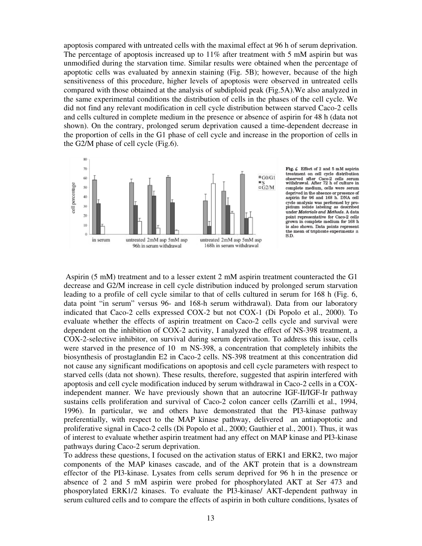apoptosis compared with untreated cells with the maximal effect at 96 h of serum deprivation. The percentage of apoptosis increased up to  $11\%$  after treatment with 5 mM aspirin but was unmodified during the starvation time. Similar results were obtained when the percentage of apoptotic cells was evaluated by annexin staining (Fig. 5B); however, because of the high sensitiveness of this procedure, higher levels of apoptosis were observed in untreated cells compared with those obtained at the analysis of subdiploid peak (Fig.5A).We also analyzed in the same experimental conditions the distribution of cells in the phases of the cell cycle. We did not find any relevant modification in cell cycle distribution between starved Caco-2 cells and cells cultured in complete medium in the presence or absence of aspirin for 48 h (data not shown). On the contrary, prolonged serum deprivation caused a time-dependent decrease in the proportion of cells in the G1 phase of cell cycle and increase in the proportion of cells in the G2/M phase of cell cycle (Fig.6).





 Aspirin (5 mM) treatment and to a lesser extent 2 mM aspirin treatment counteracted the G1 decrease and G2/M increase in cell cycle distribution induced by prolonged serum starvation leading to a profile of cell cycle similar to that of cells cultured in serum for 168 h (Fig. 6, data point "in serum" versus 96- and 168-h serum withdrawal). Data from our laboratory indicated that Caco-2 cells expressed COX-2 but not COX-1 (Di Popolo et al., 2000). To evaluate whether the effects of aspirin treatment on Caco-2 cells cycle and survival were dependent on the inhibition of COX-2 activity, I analyzed the effect of NS-398 treatment, a COX-2-selective inhibitor, on survival during serum deprivation. To address this issue, cells were starved in the presence of 10 m NS-398, a concentration that completely inhibits the biosynthesis of prostaglandin E2 in Caco-2 cells. NS-398 treatment at this concentration did not cause any significant modifications on apoptosis and cell cycle parameters with respect to starved cells (data not shown). These results, therefore, suggested that aspirin interfered with apoptosis and cell cycle modification induced by serum withdrawal in Caco-2 cells in a COXindependent manner. We have previously shown that an autocrine IGF-II/IGF-Ir pathway sustains cells proliferation and survival of Caco-2 colon cancer cells (Zarrilli et al., 1994, 1996). In particular, we and others have demonstrated that the PI3-kinase pathway preferentially, with respect to the MAP kinase pathway, delivered an antiapoptotic and proliferative signal in Caco-2 cells (Di Popolo et al., 2000; Gauthier et al., 2001). Thus, it was of interest to evaluate whether aspirin treatment had any effect on MAP kinase and PI3-kinase pathways during Caco-2 serum deprivation.

To address these questions, I focused on the activation status of ERK1 and ERK2, two major components of the MAP kinases cascade, and of the AKT protein that is a downstream effector of the PI3-kinase. Lysates from cells serum deprived for 96 h in the presence or absence of 2 and 5 mM aspirin were probed for phosphorylated AKT at Ser 473 and phosporylated ERK1/2 kinases. To evaluate the PI3-kinase/ AKT-dependent pathway in serum cultured cells and to compare the effects of aspirin in both culture conditions, lysates of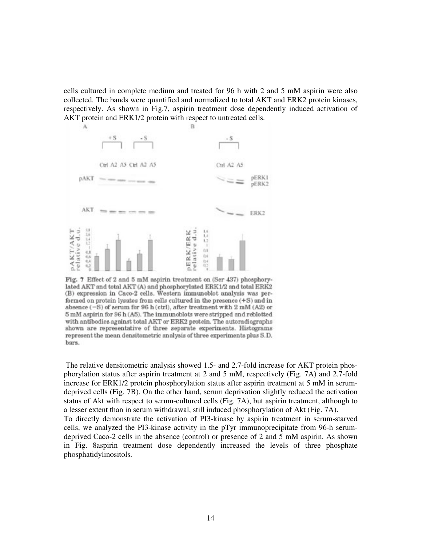cells cultured in complete medium and treated for 96 h with 2 and 5 mM aspirin were also collected. The bands were quantified and normalized to total AKT and ERK2 protein kinases, respectively. As shown in Fig.7, aspirin treatment dose dependently induced activation of AKT protein and ERK1/2 protein with respect to untreated cells.



Fig. 7 Effect of 2 and 5 mM aspirin treatment on (Ser 437) phosphorylated AKT and total AKT (A) and phosphorylated ERK1/2 and total ERK2 (B) expression in Caco-2 cells. Western immunoblot analysis was performed on protein lysates from cells cultured in the presence (+S) and in absence  $(-S)$  of serum for 96 h (ctrl), after treatment with  $2 \text{ mM } (A2)$  or 5 mM aspirin for 96 h (A5). The immunoblots were stripped and reblotted with antibodies against total AKT or ERK2 protein. The autoradiographs shown are representative of three separate experiments. Histograms represent the mean densitometric analysis of three experiments plus S.D. bars.

 The relative densitometric analysis showed 1.5- and 2.7-fold increase for AKT protein phosphorylation status after aspirin treatment at 2 and 5 mM, respectively (Fig. 7A) and 2.7-fold increase for ERK1/2 protein phosphorylation status after aspirin treatment at 5 mM in serumdeprived cells (Fig. 7B). On the other hand, serum deprivation slightly reduced the activation status of Akt with respect to serum-cultured cells (Fig. 7A), but aspirin treatment, although to a lesser extent than in serum withdrawal, still induced phosphorylation of Akt (Fig. 7A).

To directly demonstrate the activation of PI3-kinase by aspirin treatment in serum-starved cells, we analyzed the PI3-kinase activity in the pTyr immunoprecipitate from 96-h serumdeprived Caco-2 cells in the absence (control) or presence of 2 and 5 mM aspirin. As shown in Fig. 8aspirin treatment dose dependently increased the levels of three phosphate phosphatidylinositols.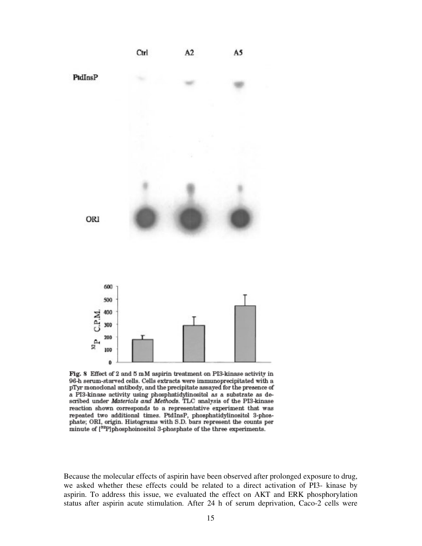

Fig. 8 Effect of 2 and 5 mM aspirin treatment on PI3-kinase activity in 96-h serum-starved cells. Cells extracts were immunoprecipitated with a pTyr monoclonal antibody, and the precipitate assayed for the presence of a PI3-kinase activity using phosphatidylinositol as a substrate as described under Materials and Methods. TLC analysis of the PI3-kinase reaction shown corresponds to a representative experiment that was repeated two additional times. PtdInsP, phosphatidylinositol 3-phosphate; ORI, origin. Histograms with S.D. bars represent the counts per minute of [<sup>52</sup>P]phosphoinositol 3-phosphate of the three experiments.

Because the molecular effects of aspirin have been observed after prolonged exposure to drug, we asked whether these effects could be related to a direct activation of PI3- kinase by aspirin. To address this issue, we evaluated the effect on AKT and ERK phosphorylation status after aspirin acute stimulation. After 24 h of serum deprivation, Caco-2 cells were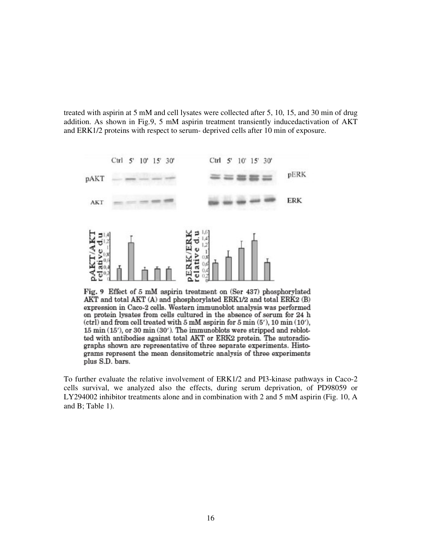treated with aspirin at 5 mM and cell lysates were collected after 5, 10, 15, and 30 min of drug addition. As shown in Fig.9, 5 mM aspirin treatment transiently inducedactivation of AKT and ERK1/2 proteins with respect to serum- deprived cells after 10 min of exposure.



Fig. 9 Effect of 5 mM aspirin treatment on (Ser 437) phosphorylated AKT and total AKT (A) and phosphorylated ERK1/2 and total ERK2 (B) expression in Caco-2 cells. Western immunoblot analysis was performed on protein lysates from cells cultured in the absence of serum for 24 h (ctrl) and from cell treated with 5 mM aspirin for 5 min (5'), 10 min (10'), 15 min (15'), or 30 min (30'). The immunoblots were stripped and reblotted with antibodies against total AKT or ERK2 protein. The autoradiographs shown are representative of three separate experiments. Histograms represent the mean densitometric analysis of three experiments plus S.D. bars.

To further evaluate the relative involvement of ERK1/2 and PI3-kinase pathways in Caco-2 cells survival, we analyzed also the effects, during serum deprivation, of PD98059 or LY294002 inhibitor treatments alone and in combination with 2 and 5 mM aspirin (Fig. 10, A and B; Table 1).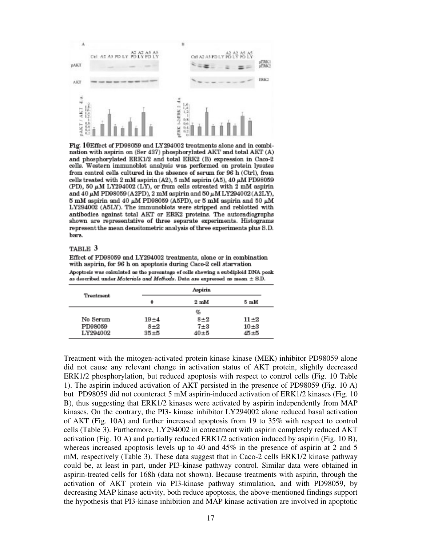

Fig. 10Effect of PD98059 and LY294002 treatments alone and in combination with aspirin on (Ser 437) phosphorylated AKT and total AKT (A) and phosphorylated ERK1/2 and total ERK2 (B) expression in Caco-2 cells. Western immunoblot analysis was performed on protein lysates from control cells cultured in the absence of serum for 96 h (Ctrl), from cells treated with 2 mM aspirin (A2), 5 mM aspirin (A5), 40  $\mu$ M PD98059 (PD), 50  $\mu$ M LY294002 (LY), or from cells cotreated with 2 mM aspirin and 40  $\mu$ M PD98059 (A2PD), 2 mM aspirin and 50  $\mu$ M LY294002 (A2LY), 5 mM aspirin and 40  $\mu$ M PD98059 (A5PD), or 5 mM aspirin and 50  $\mu$ M LY294002 (A5LY). The immunoblots were stripped and reblotted with antibodies against total AKT or ERK2 proteins. The autoradiographs shown are representative of three separate experiments. Histograms represent the mean densitometric analysis of three experiments plus S.D. hars.

#### TABLE 3

Effect of PD98059 and LY294002 treatments, alone or in combination with aspirin, for 96 h on apoptosis during Caco-2 cell starvation Apoptosis was calculated as the percentage of cells showing a subdiploid DNA peak as described under Materials and Methods. Data are expressed as mean  $\pm$  S.D.

| Treatment |          | Aspirin                 |                         |  |
|-----------|----------|-------------------------|-------------------------|--|
|           | $\bf{0}$ | $2 \text{ }\mathrm{mM}$ | $5 \text{ }\mathrm{mM}$ |  |
|           |          | q,                      |                         |  |
| No Serum  | $19 + 4$ | $8 + 2$                 | $11\pm2$                |  |
| PD98059   | $8 + 2$  | $7 + 3$                 | $10\pm 3$               |  |
| LY294002  | $35 + 5$ | $40 + 5$                | 45±5                    |  |

Treatment with the mitogen-activated protein kinase kinase (MEK) inhibitor PD98059 alone did not cause any relevant change in activation status of AKT protein, slightly decreased ERK1/2 phosphorylation, but reduced apoptosis with respect to control cells (Fig. 10 Table 1). The aspirin induced activation of AKT persisted in the presence of PD98059 (Fig. 10 A) but PD98059 did not counteract 5 mM aspirin-induced activation of ERK1/2 kinases (Fig. 10 B), thus suggesting that ERK1/2 kinases were activated by aspirin independently from MAP kinases. On the contrary, the PI3- kinase inhibitor LY294002 alone reduced basal activation of AKT (Fig. 10A) and further increased apoptosis from 19 to 35% with respect to control cells (Table 3). Furthermore, LY294002 in cotreatment with aspirin completely reduced AKT activation (Fig. 10 A) and partially reduced ERK1/2 activation induced by aspirin (Fig. 10 B), whereas increased apoptosis levels up to 40 and 45% in the presence of aspirin at 2 and 5 mM, respectively (Table 3). These data suggest that in Caco-2 cells ERK1/2 kinase pathway could be, at least in part, under PI3-kinase pathway control. Similar data were obtained in aspirin-treated cells for 168h (data not shown). Because treatments with aspirin, through the activation of AKT protein via PI3-kinase pathway stimulation, and with PD98059, by decreasing MAP kinase activity, both reduce apoptosis, the above-mentioned findings support the hypothesis that PI3-kinase inhibition and MAP kinase activation are involved in apoptotic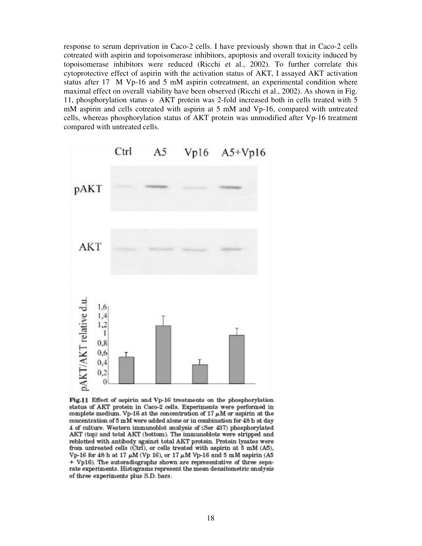response to serum deprivation in Caco-2 cells. I have previously shown that in Caco-2 cells cotreated with aspirin and topoisomerase inhibitors, apoptosis and overall toxicity induced by topoisomerase inhibitors were reduced (Ricchi et al., 2002). To further correlate this cytoprotective effect of aspirin with the activation status of AKT, I assayed AKT activation status after 17 M Vp-16 and 5 mM aspirin cotreatment, an experimental condition where maximal effect on overall viability have been observed (Ricchi et al., 2002). As shown in Fig. 11, phosphorylation status o AKT protein was 2-fold increased both in cells treated with 5 mM aspirin and cells cotreated with aspirin at 5 mM and Vp-16, compared with untreated cells, whereas phosphorylation status of AKT protein was unmodified after Vp-16 treatment compared with untreated cells.



Fig.11 Effect of aspirin and Vp-16 treatments on the phosphorylation status of AKT protein in Caco-2 cells. Experiments were performed in complete medium. Vp-16 at the concentration of 17  $\mu$ M or aspirin at the concentration of 5 mM were added alone or in combination for 48 h at day 4 of culture. Western immunoblot analysis of (Ser 437) phosphorylated AKT (top) and total AKT (bottom). The immunoblots were stripped and reblotted with antibody against total AKT protein. Protein lysates were from untreated cells (Ctrl), or cells treated with aspirin at 5 mM (A5), Vp-16 for 48 h at 17  $\mu$ M (Vp 16), or 17  $\mu$ M Vp-16 and 5 mM aspirin (A5 + Vp16). The autoradiographs shown are representative of three separate experiments. Histograms represent the mean densitometric analysis of three experiments plus S.D. bars.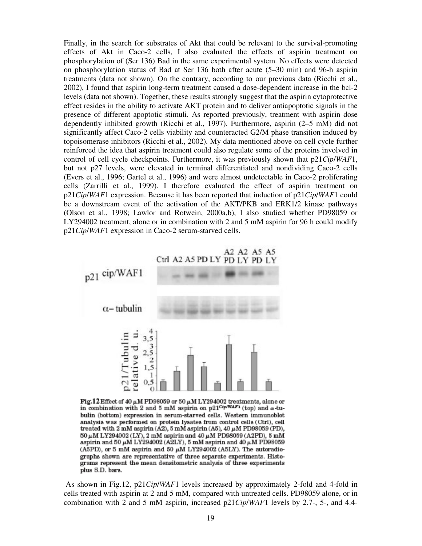Finally, in the search for substrates of Akt that could be relevant to the survival-promoting effects of Akt in Caco-2 cells, I also evaluated the effects of aspirin treatment on phosphorylation of (Ser 136) Bad in the same experimental system. No effects were detected on phosphorylation status of Bad at Ser 136 both after acute (5–30 min) and 96-h aspirin treatments (data not shown). On the contrary, according to our previous data (Ricchi et al., 2002), I found that aspirin long-term treatment caused a dose-dependent increase in the bcl-2 levels (data not shown). Together, these results strongly suggest that the aspirin cytoprotective effect resides in the ability to activate AKT protein and to deliver antiapoptotic signals in the presence of different apoptotic stimuli. As reported previously, treatment with aspirin dose dependently inhibited growth (Ricchi et al., 1997). Furthermore, aspirin (2–5 mM) did not significantly affect Caco-2 cells viability and counteracted G2/M phase transition induced by topoisomerase inhibitors (Ricchi et al., 2002). My data mentioned above on cell cycle further reinforced the idea that aspirin treatment could also regulate some of the proteins involved in control of cell cycle checkpoints. Furthermore, it was previously shown that p21*Cip*/*WAF*1, but not p27 levels, were elevated in terminal differentiated and nondividing Caco-2 cells (Evers et al., 1996; Gartel et al., 1996) and were almost undetectable in Caco-2 proliferating cells (Zarrilli et al., 1999). I therefore evaluated the effect of aspirin treatment on p21*Cip*/*WAF*1 expression. Because it has been reported that induction of p21*Cip*/*WAF*1 could be a downstream event of the activation of the AKT/PKB and ERK1/2 kinase pathways (Olson et al., 1998; Lawlor and Rotwein, 2000a,b), I also studied whether PD98059 or LY294002 treatment, alone or in combination with 2 and 5 mM aspirin for 96 h could modify p21*Cip*/*WAF*1 expression in Caco-2 serum-starved cells.



Fig.12 Effect of 40  $\mu$ M PD98059 or 50  $\mu$ M LY294002 treatments, alone or in combination with 2 and 5 mM aspirin on p21<sup>Ctp/WAF1</sup> (top) and  $\alpha$ -tubulin (bottom) expression in serum-starved cells. Western immunoblot analysis was performed on protein lysates from control cells (Ctrl), cell treated with 2 mM aspirin (A2), 5 mM aspirin (A5), 40  $\mu$ M PD98059 (PD),  $50\,\mu\mathrm{M}$  LY294002 (LY), 2 mM aspirin and 40  $\mu\mathrm{M}$  PD98059 (A2PD), 5 mM aspirin and 50  $\mu$ M LY294002 (A2LY), 5 mM aspirin and 40  $\mu$ M PD98059 (A5PD), or 5 mM aspirin and 50  $\mu$ M LY294002 (A5LY). The autoradiographs shown are representative of three separate experiments. Histograms represent the mean densitometric analysis of three experiments plus S.D. bars.

 As shown in Fig.12, p21*Cip*/*WAF*1 levels increased by approximately 2-fold and 4-fold in cells treated with aspirin at 2 and 5 mM, compared with untreated cells. PD98059 alone, or in combination with 2 and 5 mM aspirin, increased p21*Cip*/*WAF*1 levels by 2.7-, 5-, and 4.4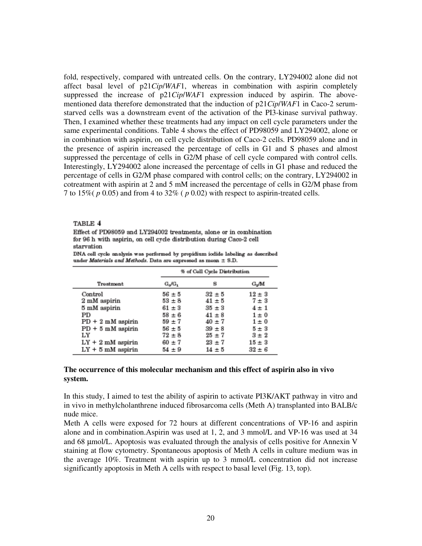fold, respectively, compared with untreated cells. On the contrary, LY294002 alone did not affect basal level of p21*Cip*/*WAF*1, whereas in combination with aspirin completely suppressed the increase of p21*Cip*/*WAF*1 expression induced by aspirin. The abovementioned data therefore demonstrated that the induction of p21*Cip*/*WAF*1 in Caco-2 serumstarved cells was a downstream event of the activation of the PI3-kinase survival pathway. Then, I examined whether these treatments had any impact on cell cycle parameters under the same experimental conditions. Table 4 shows the effect of PD98059 and LY294002, alone or in combination with aspirin, on cell cycle distribution of Caco-2 cells. PD98059 alone and in the presence of aspirin increased the percentage of cells in G1 and S phases and almost suppressed the percentage of cells in G2/M phase of cell cycle compared with control cells. Interestingly, LY294002 alone increased the percentage of cells in G1 phase and reduced the percentage of cells in G2/M phase compared with control cells; on the contrary, LY294002 in cotreatment with aspirin at 2 and 5 mM increased the percentage of cells in G2/M phase from 7 to 15%( *p* 0.05) and from 4 to 32% ( *p* 0.02) with respect to aspirin-treated cells.

#### TABLE 4

Effect of PD98059 and LY294002 treatments, alone or in combination for 96 h with aspirin, on cell cycle distribution during Caco-2 cell starvation

|                                                                    |  | DNA cell cycle analysis was performed by propidium iodide labeling as described |  |  |
|--------------------------------------------------------------------|--|---------------------------------------------------------------------------------|--|--|
| under Materials and Methods. Data are expressed as mean $\pm$ S.D. |  |                                                                                 |  |  |

|                     |            | % of Cell Cycle Distribution |            |  |
|---------------------|------------|------------------------------|------------|--|
| Treatment           | $G_o/G_1$  | s                            | G.M        |  |
| Control             | $56 \pm 5$ | $32 \pm 5$                   | $12 \pm 3$ |  |
| 2 mM aspirin        | $53 + 8$   | $41 \pm 5$                   | $7 \pm 3$  |  |
| 5 mM aspirin        | $61 \pm 3$ | $35 \pm 3$                   | $4 \pm 1$  |  |
| PD                  | $58 + 6$   | $41 \pm 8$                   | $1 \pm 0$  |  |
| $PD + 2$ mM aspirin | $59 + 7$   | $40 \pm 7$                   | $1 \pm 0$  |  |
| $PD + 5$ mM aspirin | $56 + 5$   | $39 + 8$                     | $5 \pm 3$  |  |
| LY                  | $72 \pm 8$ | $25 + 7$                     | $3 \pm 2$  |  |
| $LY + 2$ mM aspirin | $60 + 7$   | $23 + 7$                     | $15 \pm 3$ |  |
| $LY + 5$ mM aspirin | $54 \pm 9$ | $14 \pm 5$                   | $32 \pm 6$ |  |

### **The occurrence of this molecular mechanism and this effect of aspirin also in vivo system.**

In this study, I aimed to test the ability of aspirin to activate PI3K/AKT pathway in vitro and in vivo in methylcholanthrene induced fibrosarcoma cells (Meth A) transplanted into BALB/c nude mice.

Meth A cells were exposed for 72 hours at different concentrations of VP-16 and aspirin alone and in combination.Aspirin was used at 1, 2, and 3 mmol/L and VP-16 was used at 34 and 68 µmol/L. Apoptosis was evaluated through the analysis of cells positive for Annexin V staining at flow cytometry. Spontaneous apoptosis of Meth A cells in culture medium was in the average 10%. Treatment with aspirin up to 3 mmol/L concentration did not increase significantly apoptosis in Meth A cells with respect to basal level (Fig. 13, top).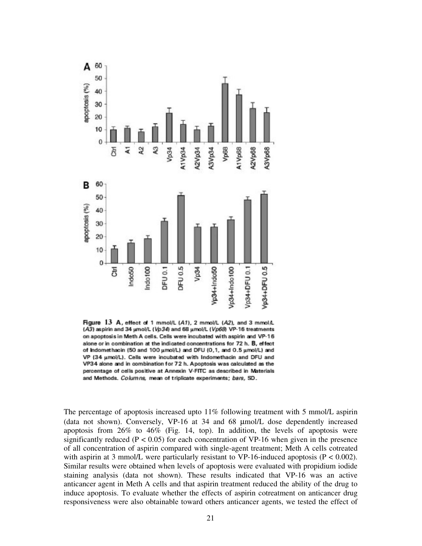

Figure 13 A, effect of 1 mmol/L (A1), 2 mmol/L (A2), and 3 mmol/L (A3) aspirin and 34 umol/L (Vp34) and 68 umol/L (Vp68) VP-16 treatments on apoptosis in Meth A cells. Cells were incubated with aspirin and VP-16 alone or in combination at the indicated concentrations for 72 h. B, effect of Indomethacin (50 and 100 umol/L) and DFU (0,1, and 0.5 umol/L) and VP (34 µmol/L). Cells were incubated with Indomethacin and DFU and VP34 alone and in combination for 72 h. Apoptosis was calculated as the percentage of cells positive at Annexin V-FITC as described in Materials and Methods. Columns, mean of triplicate experiments; bars, SD.

The percentage of apoptosis increased upto 11% following treatment with 5 mmol/L aspirin (data not shown). Conversely, VP-16 at 34 and 68 µmol/L dose dependently increased apoptosis from 26% to 46% (Fig. 14, top). In addition, the levels of apoptosis were significantly reduced ( $P < 0.05$ ) for each concentration of VP-16 when given in the presence of all concentration of aspirin compared with single-agent treatment; Meth A cells cotreated with aspirin at 3 mmol/L were particularly resistant to VP-16-induced apoptosis ( $P < 0.002$ ). Similar results were obtained when levels of apoptosis were evaluated with propidium iodide staining analysis (data not shown). These results indicated that VP-16 was an active anticancer agent in Meth A cells and that aspirin treatment reduced the ability of the drug to induce apoptosis. To evaluate whether the effects of aspirin cotreatment on anticancer drug responsiveness were also obtainable toward others anticancer agents, we tested the effect of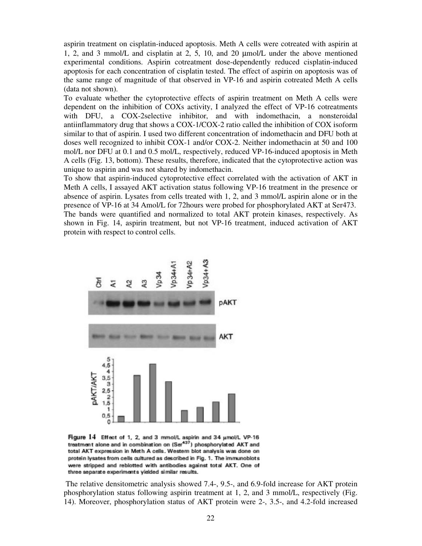aspirin treatment on cisplatin-induced apoptosis. Meth A cells were cotreated with aspirin at 1, 2, and 3 mmol/L and cisplatin at 2, 5, 10, and 20 µmol/L under the above mentioned experimental conditions. Aspirin cotreatment dose-dependently reduced cisplatin-induced apoptosis for each concentration of cisplatin tested. The effect of aspirin on apoptosis was of the same range of magnitude of that observed in VP-16 and aspirin cotreated Meth A cells (data not shown).

To evaluate whether the cytoprotective effects of aspirin treatment on Meth A cells were dependent on the inhibition of COXs activity, I analyzed the effect of VP-16 cotreatments with DFU, a COX-2selective inhibitor, and with indomethacin, a nonsteroidal antiinflammatory drug that shows a COX-1/COX-2 ratio called the inhibition of COX isoform similar to that of aspirin. I used two different concentration of indomethacin and DFU both at doses well recognized to inhibit COX-1 and/or COX-2. Neither indomethacin at 50 and 100 mol/L nor DFU at 0.1 and 0.5 mol/L, respectively, reduced VP-16-induced apoptosis in Meth A cells (Fig. 13, bottom). These results, therefore, indicated that the cytoprotective action was unique to aspirin and was not shared by indomethacin.

To show that aspirin-induced cytoprotective effect correlated with the activation of AKT in Meth A cells, I assayed AKT activation status following VP-16 treatment in the presence or absence of aspirin. Lysates from cells treated with 1, 2, and 3 mmol/L aspirin alone or in the presence of VP-16 at 34 Amol/L for 72hours were probed for phosphorylated AKT at Ser473. The bands were quantified and normalized to total AKT protein kinases, respectively. As shown in Fig. 14, aspirin treatment, but not VP-16 treatment, induced activation of AKT protein with respect to control cells.



Figure 14 Effect of 1, 2, and 3 mmol/L aspirin and 34 umol/L VP-16 treatment alone and in combination on (Ser<sup>437</sup>) phosphorylated AKT and total AKT expression in Meth A cells. Western blot analysis was done on protein lysates from cells cultured as described in Fig. 1. The immunoblots were stripped and reblotted with antibodies against total AKT. One of three separate experiments yielded similar results.

 The relative densitometric analysis showed 7.4-, 9.5-, and 6.9-fold increase for AKT protein phosphorylation status following aspirin treatment at 1, 2, and 3 mmol/L, respectively (Fig. 14). Moreover, phosphorylation status of AKT protein were 2-, 3.5-, and 4.2-fold increased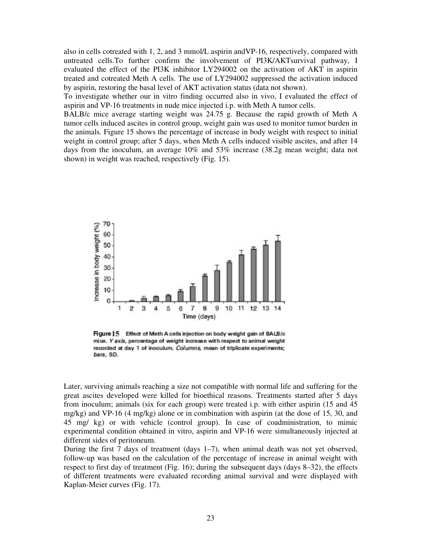also in cells cotreated with 1, 2, and 3 mmol/L aspirin andVP-16, respectively, compared with untreated cells.To further confirm the involvement of PI3K/AKTsurvival pathway, I evaluated the effect of the PI3K inhibitor LY294002 on the activation of AKT in aspirin treated and cotreated Meth A cells. The use of LY294002 suppressed the activation induced by aspirin, restoring the basal level of AKT activation status (data not shown).

To investigate whether our in vitro finding occurred also in vivo, I evaluated the effect of aspirin and VP-16 treatments in nude mice injected i.p. with Meth A tumor cells.

BALB/c mice average starting weight was 24.75 g. Because the rapid growth of Meth A tumor cells induced ascites in control group, weight gain was used to monitor tumor burden in the animals. Figure 15 shows the percentage of increase in body weight with respect to initial weight in control group; after 5 days, when Meth A cells induced visible ascites, and after 14 days from the inoculum, an average 10% and 53% increase (38.2g mean weight; data not shown) in weight was reached, respectively (Fig. 15).



Figure 15 Effect of Meth A cells injection on body weight gain of BALB/c mice. Yaxis, percentage of weight increase with respect to animal weight recorded at day 1 of inoculum. Columns, mean of triplicate experiments; bars, SD.

Later, surviving animals reaching a size not compatible with normal life and suffering for the great ascites developed were killed for bioethical reasons. Treatments started after 5 days from inoculum; animals (six for each group) were treated i.p. with either aspirin (15 and 45 mg/kg) and VP-16 (4 mg/kg) alone or in combination with aspirin (at the dose of 15, 30, and 45 mg/ kg) or with vehicle (control group). In case of coadministration, to mimic experimental condition obtained in vitro, aspirin and VP-16 were simultaneously injected at different sides of peritoneum.

During the first 7 days of treatment (days 1–7), when animal death was not yet observed, follow-up was based on the calculation of the percentage of increase in animal weight with respect to first day of treatment (Fig. 16); during the subsequent days (days 8–32), the effects of different treatments were evaluated recording animal survival and were displayed with Kaplan-Meier curves (Fig. 17).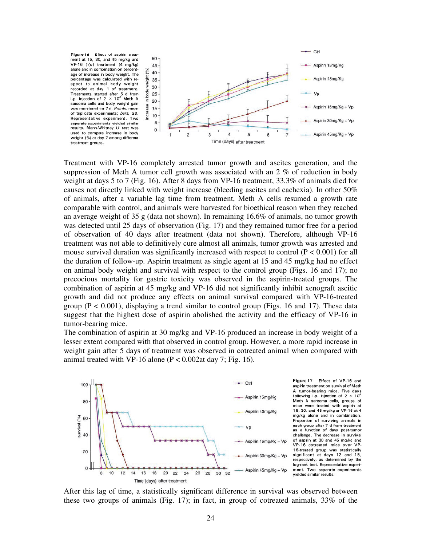

Treatment with VP-16 completely arrested tumor growth and ascites generation, and the suppression of Meth A tumor cell growth was associated with an 2 % of reduction in body weight at days 5 to 7 (Fig. 16). After 8 days from VP-16 treatment, 33.3% of animals died for causes not directly linked with weight increase (bleeding ascites and cachexia). In other 50% of animals, after a variable lag time from treatment, Meth A cells resumed a growth rate comparable with control, and animals were harvested for bioethical reason when they reached an average weight of 35 g (data not shown). In remaining 16.6% of animals, no tumor growth was detected until 25 days of observation (Fig. 17) and they remained tumor free for a period of observation of 40 days after treatment (data not shown). Therefore, although VP-16 treatment was not able to definitively cure almost all animals, tumor growth was arrested and mouse survival duration was significantly increased with respect to control  $(P < 0.001)$  for all the duration of follow-up. Aspirin treatment as single agent at 15 and 45 mg/kg had no effect on animal body weight and survival with respect to the control group (Figs. 16 and 17); no precocious mortality for gastric toxicity was observed in the aspirin-treated groups. The combination of aspirin at 45 mg/kg and VP-16 did not significantly inhibit xenograft ascitic growth and did not produce any effects on animal survival compared with VP-16-treated group ( $P < 0.001$ ), displaying a trend similar to control group (Figs. 16 and 17). These data suggest that the highest dose of aspirin abolished the activity and the efficacy of VP-16 in tumor-bearing mice.

The combination of aspirin at 30 mg/kg and VP-16 produced an increase in body weight of a lesser extent compared with that observed in control group. However, a more rapid increase in weight gain after 5 days of treatment was observed in cotreated animal when compared with animal treated with VP-16 alone ( $P < 0.002$ at day 7; Fig. 16).



Figure 17 Effect of VP-16 and aspirin treatment on survival of Meth A tumor-bearing mice. Five days following i.p. injection of  $2 \times 10^6$ Meth A sarcoma cells, groups of mice were treated with aspirin at 15, 30, and 45 mg/kg or VP-16 at 4 mg/kg alone and in combination. Proportion of surviving animals in each group after 7 d from treatment<br>as a function of days post-tumor challenge. The decrease in survival of aspirin at 30 and 45 mg/kg and VP-16 cotreated mice over VP-16-treated group was statistically significant at days 12 and 15, respectively, as determined by the log-rank test. Representative experiment. Two separate experiments vielded similar results.

After this lag of time, a statistically significant difference in survival was observed between these two groups of animals (Fig. 17); in fact, in group of cotreated animals, 33% of the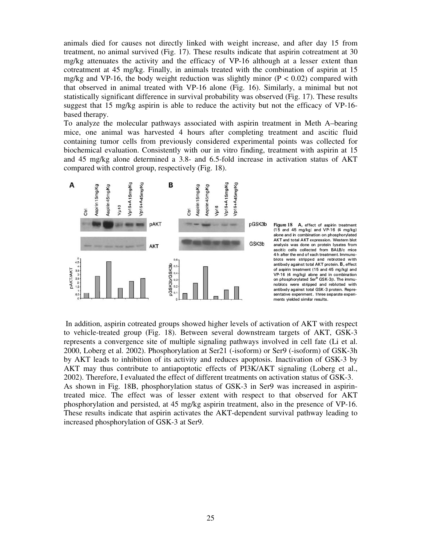animals died for causes not directly linked with weight increase, and after day 15 from treatment, no animal survived (Fig. 17). These results indicate that aspirin cotreatment at 30 mg/kg attenuates the activity and the efficacy of VP-16 although at a lesser extent than cotreatment at 45 mg/kg. Finally, in animals treated with the combination of aspirin at 15 mg/kg and VP-16, the body weight reduction was slightly minor ( $P < 0.02$ ) compared with that observed in animal treated with VP-16 alone (Fig. 16). Similarly, a minimal but not statistically significant difference in survival probability was observed (Fig. 17). These results suggest that 15 mg/kg aspirin is able to reduce the activity but not the efficacy of VP-16 based therapy.

To analyze the molecular pathways associated with aspirin treatment in Meth A–bearing mice, one animal was harvested 4 hours after completing treatment and ascitic fluid containing tumor cells from previously considered experimental points was collected for biochemical evaluation. Consistently with our in vitro finding, treatment with aspirin at 15 and 45 mg/kg alone determined a 3.8- and 6.5-fold increase in activation status of AKT compared with control group, respectively (Fig. 18).



 In addition, aspirin cotreated groups showed higher levels of activation of AKT with respect to vehicle-treated group (Fig. 18). Between several downstream targets of AKT, GSK-3 represents a convergence site of multiple signaling pathways involved in cell fate (Li et al. 2000, Loberg et al. 2002). Phosphorylation at Ser21 (-isoform) or Ser9 (-isoform) of GSK-3h by AKT leads to inhibition of its activity and reduces apoptosis. Inactivation of GSK-3 by AKT may thus contribute to antiapoptotic effects of PI3K/AKT signaling (Loberg et al., 2002). Therefore, I evaluated the effect of different treatments on activation status of GSK-3. As shown in Fig. 18B, phosphorylation status of GSK-3 in Ser9 was increased in aspirintreated mice. The effect was of lesser extent with respect to that observed for AKT phosphorylation and persisted, at 45 mg/kg aspirin treatment, also in the presence of VP-16. These results indicate that aspirin activates the AKT-dependent survival pathway leading to increased phosphorylation of GSK-3 at Ser9.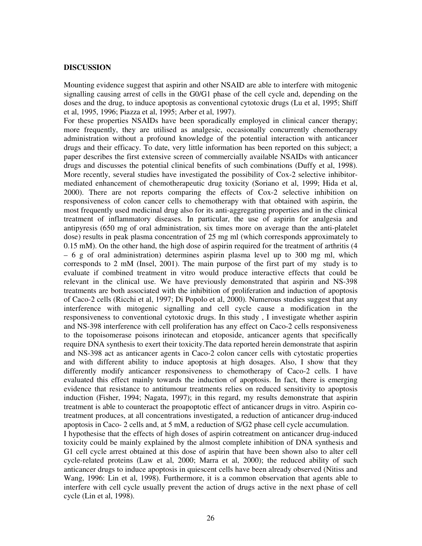#### **DISCUSSION**

Mounting evidence suggest that aspirin and other NSAID are able to interfere with mitogenic signalling causing arrest of cells in the G0/G1 phase of the cell cycle and, depending on the doses and the drug, to induce apoptosis as conventional cytotoxic drugs (Lu et al, 1995; Shiff et al, 1995, 1996; Piazza et al, 1995; Arber et al, 1997).

For these properties NSAIDs have been sporadically employed in clinical cancer therapy; more frequently, they are utilised as analgesic, occasionally concurrently chemotherapy administration without a profound knowledge of the potential interaction with anticancer drugs and their efficacy. To date, very little information has been reported on this subject; a paper describes the first extensive screen of commercially available NSAIDs with anticancer drugs and discusses the potential clinical benefits of such combinations (Duffy et al, 1998). More recently, several studies have investigated the possibility of Cox-2 selective inhibitormediated enhancement of chemotherapeutic drug toxicity (Soriano et al, 1999; Hida et al, 2000). There are not reports comparing the effects of Cox-2 selective inhibition on responsiveness of colon cancer cells to chemotherapy with that obtained with aspirin, the most frequently used medicinal drug also for its anti-aggregating properties and in the clinical treatment of inflammatory diseases. In particular, the use of aspirin for analgesia and antipyresis (650 mg of oral administration, six times more on average than the anti-platelet dose) results in peak plasma concentration of 25 mg ml (which corresponds approximately to 0.15 mM). On the other hand, the high dose of aspirin required for the treatment of arthritis (4  $-6$  g of oral administration) determines aspirin plasma level up to 300 mg ml, which corresponds to 2 mM (Insel, 2001). The main purpose of the first part of my study is to evaluate if combined treatment in vitro would produce interactive effects that could be relevant in the clinical use. We have previously demonstrated that aspirin and NS-398 treatments are both associated with the inhibition of proliferation and induction of apoptosis of Caco-2 cells (Ricchi et al, 1997; Di Popolo et al, 2000). Numerous studies suggest that any interference with mitogenic signalling and cell cycle cause a modification in the responsiveness to conventional cytotoxic drugs. In this study , I investigate whether aspirin and NS-398 interference with cell proliferation has any effect on Caco-2 cells responsiveness to the topoisomerase poisons irinotecan and etoposide, anticancer agents that specifically require DNA synthesis to exert their toxicity.The data reported herein demonstrate that aspirin and NS-398 act as anticancer agents in Caco-2 colon cancer cells with cytostatic properties and with different ability to induce apoptosis at high dosages. Also, I show that they differently modify anticancer responsiveness to chemotherapy of Caco-2 cells. I have evaluated this effect mainly towards the induction of apoptosis. In fact, there is emerging evidence that resistance to antitumour treatments relies on reduced sensitivity to apoptosis induction (Fisher, 1994; Nagata, 1997); in this regard, my results demonstrate that aspirin treatment is able to counteract the proapoptotic effect of anticancer drugs in vitro. Aspirin cotreatment produces, at all concentrations investigated, a reduction of anticancer drug-induced apoptosis in Caco- 2 cells and, at 5 mM, a reduction of S/G2 phase cell cycle accumulation. I hypothesise that the effects of high doses of aspirin cotreatment on anticancer drug-induced

toxicity could be mainly explained by the almost complete inhibition of DNA synthesis and G1 cell cycle arrest obtained at this dose of aspirin that have been shown also to alter cell cycle-related proteins (Law et al, 2000; Marra et al, 2000); the reduced ability of such anticancer drugs to induce apoptosis in quiescent cells have been already observed (Nitiss and Wang, 1996: Lin et al, 1998). Furthermore, it is a common observation that agents able to interfere with cell cycle usually prevent the action of drugs active in the next phase of cell cycle (Lin et al, 1998).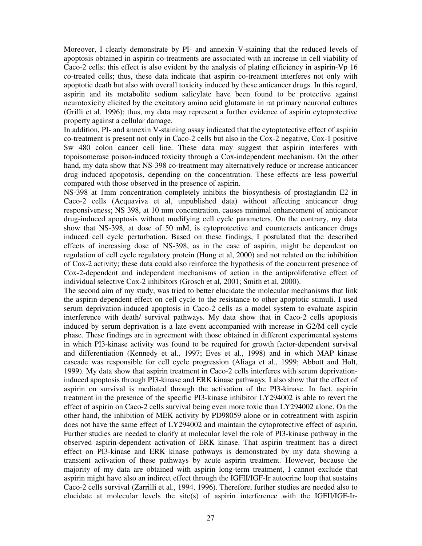Moreover, I clearly demonstrate by PI- and annexin V-staining that the reduced levels of apoptosis obtained in aspirin co-treatments are associated with an increase in cell viability of Caco-2 cells; this effect is also evident by the analysis of plating efficiency in aspirin-Vp 16 co-treated cells; thus, these data indicate that aspirin co-treatment interferes not only with apoptotic death but also with overall toxicity induced by these anticancer drugs. In this regard, aspirin and its metabolite sodium salicylate have been found to be protective against neurotoxicity elicited by the excitatory amino acid glutamate in rat primary neuronal cultures (Grilli et al, 1996); thus, my data may represent a further evidence of aspirin cytoprotective property against a cellular damage.

In addition, PI- and annexin V-staining assay indicated that the cytoptotective effect of aspirin co-treatment is present not only in Caco-2 cells but also in the Cox-2 negative, Cox-1 positive Sw 480 colon cancer cell line. These data may suggest that aspirin interferes with topoisomerase poison-induced toxicity through a Cox-independent mechanism. On the other hand, my data show that NS-398 co-treatment may alternatively reduce or increase anticancer drug induced apopotosis, depending on the concentration. These effects are less powerful compared with those observed in the presence of aspirin.

NS-398 at 1mm concentration completely inhibits the biosynthesis of prostaglandin E2 in Caco-2 cells (Acquaviva et al, unpublished data) without affecting anticancer drug responsiveness; NS 398, at 10 mm concentration, causes minimal enhancement of anticancer drug-induced apoptosis without modifying cell cycle parameters. On the contrary, my data show that NS-398, at dose of 50 mM, is cytoprotective and counteracts anticancer drugs induced cell cycle perturbation. Based on these findings, I postulated that the described effects of increasing dose of NS-398, as in the case of aspirin, might be dependent on regulation of cell cycle regulatory protein (Hung et al, 2000) and not related on the inhibition of Cox-2 activity; these data could also reinforce the hypothesis of the concurrent presence of Cox-2-dependent and independent mechanisms of action in the antiproliferative effect of individual selective Cox-2 inhibitors (Grosch et al, 2001; Smith et al, 2000).

The second aim of my study, was tried to better elucidate the molecular mechanisms that link the aspirin-dependent effect on cell cycle to the resistance to other apoptotic stimuli. I used serum deprivation-induced apoptosis in Caco-2 cells as a model system to evaluate aspirin interference with death/ survival pathways. My data show that in Caco-2 cells apoptosis induced by serum deprivation is a late event accompanied with increase in G2/M cell cycle phase. These findings are in agreement with those obtained in different experimental systems in which PI3-kinase activity was found to be required for growth factor-dependent survival and differentiation (Kennedy et al., 1997; Eves et al., 1998) and in which MAP kinase cascade was responsible for cell cycle progression (Aliaga et al., 1999; Abbott and Holt, 1999). My data show that aspirin treatment in Caco-2 cells interferes with serum deprivationinduced apoptosis through PI3-kinase and ERK kinase pathways. I also show that the effect of aspirin on survival is mediated through the activation of the PI3-kinase. In fact, aspirin treatment in the presence of the specific PI3-kinase inhibitor LY294002 is able to revert the effect of aspirin on Caco-2 cells survival being even more toxic than LY294002 alone. On the other hand, the inhibition of MEK activity by PD98059 alone or in cotreatment with aspirin does not have the same effect of LY294002 and maintain the cytoprotective effect of aspirin. Further studies are needed to clarify at molecular level the role of PI3-kinase pathway in the observed aspirin-dependent activation of ERK kinase. That aspirin treatment has a direct effect on PI3-kinase and ERK kinase pathways is demonstrated by my data showing a transient activation of these pathways by acute aspirin treatment. However, because the majority of my data are obtained with aspirin long-term treatment, I cannot exclude that aspirin might have also an indirect effect through the IGFII/IGF-Ir autocrine loop that sustains Caco-2 cells survival (Zarrilli et al., 1994, 1996). Therefore, further studies are needed also to elucidate at molecular levels the site(s) of aspirin interference with the IGFII/IGF-Ir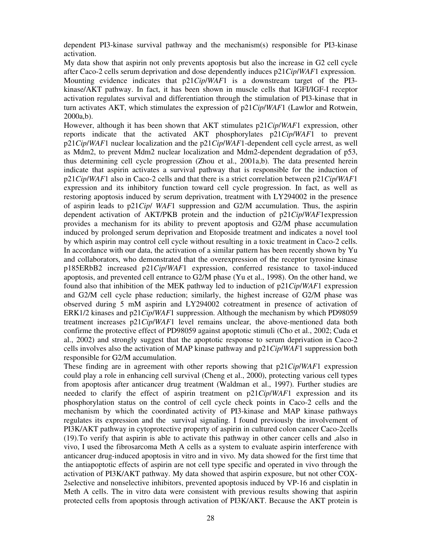dependent PI3-kinase survival pathway and the mechanism(s) responsible for PI3-kinase activation.

My data show that aspirin not only prevents apoptosis but also the increase in G2 cell cycle after Caco-2 cells serum deprivation and dose dependently induces p21*Cip*/*WAF*1 expression. Mounting evidence indicates that p21*Cip*/*WAF*1 is a downstream target of the PI3 kinase/AKT pathway. In fact, it has been shown in muscle cells that IGFI/IGF-I receptor activation regulates survival and differentiation through the stimulation of PI3-kinase that in turn activates AKT, which stimulates the expression of p21*Cip*/*WAF*1 (Lawlor and Rotwein, 2000a,b).

However, although it has been shown that AKT stimulates p21*Cip*/*WAF*1 expression, other reports indicate that the activated AKT phosphorylates p21*Cip*/*WAF*1 to prevent p21*Cip*/*WAF*1 nuclear localization and the p21*Cip*/*WAF*1-dependent cell cycle arrest, as well as Mdm2, to prevent Mdm2 nuclear localization and Mdm2-dependent degradation of p53, thus determining cell cycle progression (Zhou et al., 2001a,b). The data presented herein indicate that aspirin activates a survival pathway that is responsible for the induction of p21*Cip*/*WAF*1 also in Caco-2 cells and that there is a strict correlation between p21*Cip*/*WAF*1 expression and its inhibitory function toward cell cycle progression. In fact, as well as restoring apoptosis induced by serum deprivation, treatment with LY294002 in the presence of aspirin leads to p21*Cip*/ *WAF*1 suppression and G2/M accumulation. Thus, the aspirin dependent activation of AKT/PKB protein and the induction of p21*Cip*/*WAF*1expression provides a mechanism for its ability to prevent apoptosis and G2/M phase accumulation induced by prolonged serum deprivation and Etoposide treatment and indicates a novel tool by which aspirin may control cell cycle without resulting in a toxic treatment in Caco-2 cells. In accordance with our data, the activation of a similar pattern has been recently shown by Yu and collaborators, who demonstrated that the overexpression of the receptor tyrosine kinase p185ERbB2 increased p21*Cip*/*WAF*1 expression, conferred resistance to taxol-induced apoptosis, and prevented cell entrance to G2/M phase (Yu et al., 1998). On the other hand, we found also that inhibition of the MEK pathway led to induction of p21*Cip*/*WAF*1 expression and G2/M cell cycle phase reduction; similarly, the highest increase of G2/M phase was observed during 5 mM aspirin and LY294002 cotreatment in presence of activation of ERK1/2 kinases and p21*Cip*/*WAF*1 suppression. Although the mechanism by which PD98059 treatment increases p21*Cip*/*WAF*1 level remains unclear, the above-mentioned data both confirme the protective effect of PD98059 against apoptotic stimuli (Cho et al., 2002; Cuda et al., 2002) and strongly suggest that the apoptotic response to serum deprivation in Caco-2 cells involves also the activation of MAP kinase pathway and p21*Cip*/*WAF*1 suppression both responsible for G2/M accumulation.

These finding are in agreement with other reports showing that p21*Cip*/*WAF*1 expression could play a role in enhancing cell survival (Cheng et al., 2000), protecting various cell types from apoptosis after anticancer drug treatment (Waldman et al., 1997). Further studies are needed to clarify the effect of aspirin treatment on p21*Cip*/*WAF*1 expression and its phosphorylation status on the control of cell cycle check points in Caco-2 cells and the mechanism by which the coordinated activity of PI3-kinase and MAP kinase pathways regulates its expression and the survival signaling. I found previously the involvement of PI3K/AKT pathway in cytoprotective property of aspirin in cultured colon cancer Caco-2cells (19).To verify that aspirin is able to activate this pathway in other cancer cells and ,also in vivo, I used the fibrosarcoma Meth A cells as a system to evaluate aspirin interference with anticancer drug-induced apoptosis in vitro and in vivo. My data showed for the first time that the antiapoptotic effects of aspirin are not cell type specific and operated in vivo through the activation of PI3K/AKT pathway. My data showed that aspirin exposure, but not other COX-2selective and nonselective inhibitors, prevented apoptosis induced by VP-16 and cisplatin in Meth A cells. The in vitro data were consistent with previous results showing that aspirin protected cells from apoptosis through activation of PI3K/AKT. Because the AKT protein is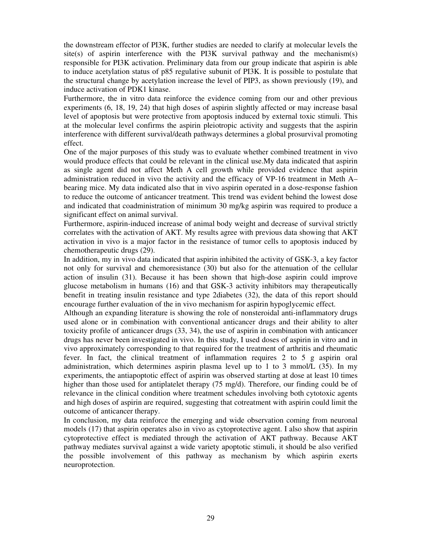the downstream effector of PI3K, further studies are needed to clarify at molecular levels the site(s) of aspirin interference with the PI3K survival pathway and the mechanism(s) responsible for PI3K activation. Preliminary data from our group indicate that aspirin is able to induce acetylation status of p85 regulative subunit of PI3K. It is possible to postulate that the structural change by acetylation increase the level of PIP3, as shown previously (19), and induce activation of PDK1 kinase.

Furthermore, the in vitro data reinforce the evidence coming from our and other previous experiments (6, 18, 19, 24) that high doses of aspirin slightly affected or may increase basal level of apoptosis but were protective from apoptosis induced by external toxic stimuli. This at the molecular level confirms the aspirin pleiotropic activity and suggests that the aspirin interference with different survival/death pathways determines a global prosurvival promoting effect.

One of the major purposes of this study was to evaluate whether combined treatment in vivo would produce effects that could be relevant in the clinical use.My data indicated that aspirin as single agent did not affect Meth A cell growth while provided evidence that aspirin administration reduced in vivo the activity and the efficacy of VP-16 treatment in Meth A– bearing mice. My data indicated also that in vivo aspirin operated in a dose-response fashion to reduce the outcome of anticancer treatment. This trend was evident behind the lowest dose and indicated that coadministration of minimum 30 mg/kg aspirin was required to produce a significant effect on animal survival.

Furthermore, aspirin-induced increase of animal body weight and decrease of survival strictly correlates with the activation of AKT. My results agree with previous data showing that AKT activation in vivo is a major factor in the resistance of tumor cells to apoptosis induced by chemotherapeutic drugs (29).

In addition, my in vivo data indicated that aspirin inhibited the activity of GSK-3, a key factor not only for survival and chemoresistance (30) but also for the attenuation of the cellular action of insulin (31). Because it has been shown that high-dose aspirin could improve glucose metabolism in humans (16) and that GSK-3 activity inhibitors may therapeutically benefit in treating insulin resistance and type 2diabetes (32), the data of this report should encourage further evaluation of the in vivo mechanism for aspirin hypoglycemic effect.

Although an expanding literature is showing the role of nonsteroidal anti-inflammatory drugs used alone or in combination with conventional anticancer drugs and their ability to alter toxicity profile of anticancer drugs (33, 34), the use of aspirin in combination with anticancer drugs has never been investigated in vivo. In this study, I used doses of aspirin in vitro and in vivo approximately corresponding to that required for the treatment of arthritis and rheumatic fever. In fact, the clinical treatment of inflammation requires 2 to 5 g aspirin oral administration, which determines aspirin plasma level up to 1 to 3 mmol/L (35). In my experiments, the antiapoptotic effect of aspirin was observed starting at dose at least 10 times higher than those used for antiplatelet therapy (75 mg/d). Therefore, our finding could be of relevance in the clinical condition where treatment schedules involving both cytotoxic agents and high doses of aspirin are required, suggesting that cotreatment with aspirin could limit the outcome of anticancer therapy.

In conclusion, my data reinforce the emerging and wide observation coming from neuronal models (17) that aspirin operates also in vivo as cytoprotective agent. I also show that aspirin cytoprotective effect is mediated through the activation of AKT pathway. Because AKT pathway mediates survival against a wide variety apoptotic stimuli, it should be also verified the possible involvement of this pathway as mechanism by which aspirin exerts neuroprotection.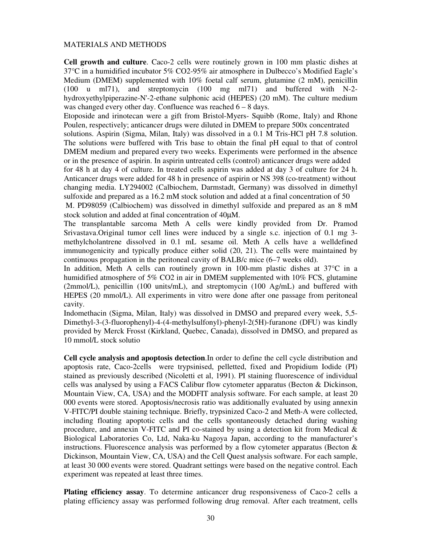### MATERIALS AND METHODS

**Cell growth and culture**. Caco-2 cells were routinely grown in 100 mm plastic dishes at 37°C in a humidified incubator 5% CO2-95% air atmosphere in Dulbecco's Modified Eagle's Medium (DMEM) supplemented with 10% foetal calf serum, glutamine (2 mM), penicillin (100 u ml71), and streptomycin (100 mg ml71) and buffered with N-2 hydroxyethylpiperazine-N'-2-ethane sulphonic acid (HEPES) (20 mM). The culture medium was changed every other day. Confluence was reached 6 – 8 days.

Etoposide and irinotecan were a gift from Bristol-Myers- Squibb (Rome, Italy) and Rhone Poulen, respectively; anticancer drugs were diluted in DMEM to prepare 500x concentrated

solutions. Aspirin (Sigma, Milan, Italy) was dissolved in a 0.1 M Tris-HCl pH 7.8 solution. The solutions were buffered with Tris base to obtain the final pH equal to that of control DMEM medium and prepared every two weeks. Experiments were performed in the absence or in the presence of aspirin. In aspirin untreated cells (control) anticancer drugs were added

for 48 h at day 4 of culture. In treated cells aspirin was added at day 3 of culture for 24 h. Anticancer drugs were added for 48 h in presence of aspirin or NS 398 (co-treatment) without changing media. LY294002 (Calbiochem, Darmstadt, Germany) was dissolved in dimethyl sulfoxide and prepared as a 16.2 mM stock solution and added at a final concentration of 50

 M. PD98059 (Calbiochem) was dissolved in dimethyl sulfoxide and prepared as an 8 mM stock solution and added at final concentration of 40µM.

The transplantable sarcoma Meth A cells were kindly provided from Dr. Pramod Srivastava.Original tumor cell lines were induced by a single s.c. injection of 0.1 mg 3 methylcholantrene dissolved in 0.1 mL sesame oil. Meth A cells have a welldefined immunogenicity and typically produce either solid (20, 21). The cells were maintained by continuous propagation in the peritoneal cavity of BALB/c mice (6–7 weeks old).

In addition, Meth A cells can routinely grown in 100-mm plastic dishes at 37°C in a humidified atmosphere of 5% CO2 in air in DMEM supplemented with 10% FCS, glutamine (2mmol/L), penicillin (100 units/mL), and streptomycin (100 Ag/mL) and buffered with HEPES (20 mmol/L). All experiments in vitro were done after one passage from peritoneal cavity.

Indomethacin (Sigma, Milan, Italy) was dissolved in DMSO and prepared every week, 5,5- Dimethyl-3-(3-fluorophenyl)-4-(4-methylsulfonyl)-phenyl-2(5H)-furanone (DFU) was kindly provided by Merck Frosst (Kirkland, Quebec, Canada), dissolved in DMSO, and prepared as 10 mmol/L stock solutio

**Cell cycle analysis and apoptosis detection**.In order to define the cell cycle distribution and apoptosis rate, Caco-2cells were trypsinised, pelletted, fixed and Propidium Iodide (PI) stained as previously described (Nicoletti et al, 1991). PI staining fluorescence of individual cells was analysed by using a FACS Calibur flow cytometer apparatus (Becton & Dickinson, Mountain View, CA, USA) and the MODFIT analysis software. For each sample, at least 20 000 events were stored. Apoptosis/necrosis ratio was additionally evaluated by using annexin V-FITC/PI double staining technique. Briefly, trypsinized Caco-2 and Meth-A were collected, including floating apoptotic cells and the cells spontaneously detached during washing procedure, and annexin V-FITC and PI co-stained by using a detection kit from Medical  $\&$ Biological Laboratories Co, Ltd, Naka-ku Nagoya Japan, according to the manufacturer's instructions. Fluorescence analysis was performed by a flow cytometer apparatus (Becton & Dickinson, Mountain View, CA, USA) and the Cell Quest analysis software. For each sample, at least 30 000 events were stored. Quadrant settings were based on the negative control. Each experiment was repeated at least three times.

**Plating efficiency assay**. To determine anticancer drug responsiveness of Caco-2 cells a plating efficiency assay was performed following drug removal. After each treatment, cells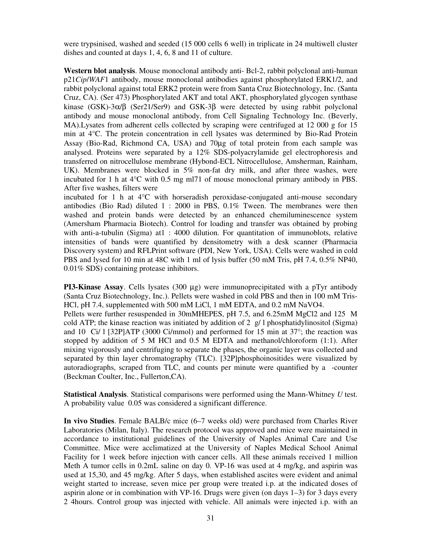were trypsinised, washed and seeded (15 000 cells 6 well) in triplicate in 24 multiwell cluster dishes and counted at days 1, 4, 6, 8 and 11 of culture.

**Western blot analysis**. Mouse monoclonal antibody anti- Bcl-2, rabbit polyclonal anti-human p21*Cip*/*WAF*1 antibody, mouse monoclonal antibodies against phosphorylated ERK1/2, and rabbit polyclonal against total ERK2 protein were from Santa Cruz Biotechnology, Inc. (Santa Cruz, CA). (Ser 473) Phosphorylated AKT and total AKT, phosphorylated glycogen synthase kinase (GSK)-3α/β (Ser21/Ser9) and GSK-3β were detected by using rabbit polyclonal antibody and mouse monoclonal antibody, from Cell Signaling Technology Inc. (Beverly, MA). Lysates from adherent cells collected by scraping were centrifuged at 12 000 g for 15 min at 4°C. The protein concentration in cell lysates was determined by Bio-Rad Protein Assay (Bio-Rad, Richmond CA, USA) and 70µg of total protein from each sample was analysed. Proteins were separated by a 12% SDS-polyacrylamide gel electrophoresis and transferred on nitrocellulose membrane (Hybond-ECL Nitrocellulose, Amsherman, Rainham, UK). Membranes were blocked in 5% non-fat dry milk, and after three washes, were incubated for 1 h at 4°C with 0.5 mg ml71 of mouse monoclonal primary antibody in PBS. After five washes, filters were

incubated for 1 h at 4°C with horseradish peroxidase-conjugated anti-mouse secondary antibodies (Bio Rad) diluted 1 : 2000 in PBS, 0.1% Tween. The membranes were then washed and protein bands were detected by an enhanced chemiluminescence system (Amersham Pharmacia Biotech). Control for loading and transfer was obtained by probing with anti-a-tubulin (Sigma) at 1:4000 dilution. For quantitation of immunoblots, relative intensities of bands were quantified by densitometry with a desk scanner (Pharmacia Discovery system) and RFLPrint software (PDI, New York, USA). Cells were washed in cold PBS and lysed for 10 min at 48C with 1 ml of lysis buffer (50 mM Tris, pH 7.4, 0.5% NP40, 0.01% SDS) containing protease inhibitors.

**PI3-Kinase Assay.** Cells lysates (300  $\mu$ g) were immunoprecipitated with a pTyr antibody (Santa Cruz Biotechnology, Inc.). Pellets were washed in cold PBS and then in 100 mM Tris-HCl, pH 7.4, supplemented with 500 mM LiCl, 1 mM EDTA, and 0.2 mM NaVO4. Pellets were further resuspended in 30mMHEPES, pH 7.5, and 6.25mM MgCl2 and 125 M cold ATP; the kinase reaction was initiated by addition of 2  $g/1$  phosphatidylinositol (Sigma) and 10 Ci/ l [32P]ATP (3000 Ci/mmol) and performed for 15 min at  $37^{\circ}$ ; the reaction was stopped by addition of 5 M HCl and 0.5 M EDTA and methanol/chloroform (1:1). After mixing vigorously and centrifuging to separate the phases, the organic layer was collected and separated by thin layer chromatography (TLC). [32P]phosphoinositides were visualized by autoradiographs, scraped from TLC, and counts per minute were quantified by a -counter (Beckman Coulter, Inc., Fullerton,CA).

**Statistical Analysis**. Statistical comparisons were performed using the Mann-Whitney *U* test. A probability value 0.05 was considered a significant difference.

**In vivo Studies**. Female BALB/c mice (6–7 weeks old) were purchased from Charles River Laboratories (Milan, Italy). The research protocol was approved and mice were maintained in accordance to institutional guidelines of the University of Naples Animal Care and Use Committee. Mice were acclimatized at the University of Naples Medical School Animal Facility for 1 week before injection with cancer cells. All these animals received 1 million Meth A tumor cells in 0.2mL saline on day 0. VP-16 was used at 4 mg/kg, and aspirin was used at 15,30, and 45 mg/kg. After 5 days, when established ascites were evident and animal weight started to increase, seven mice per group were treated i.p. at the indicated doses of aspirin alone or in combination with VP-16. Drugs were given (on days 1–3) for 3 days every 2 4hours. Control group was injected with vehicle. All animals were injected i.p. with an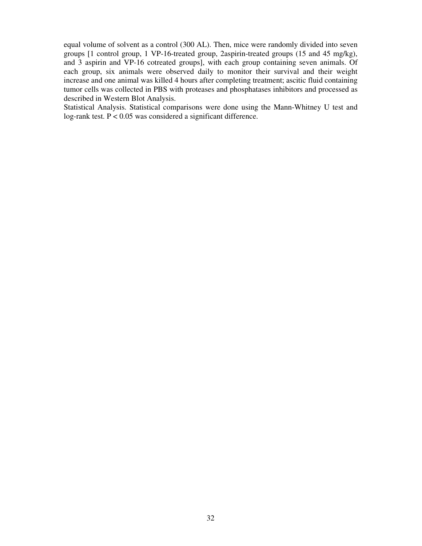equal volume of solvent as a control (300 AL). Then, mice were randomly divided into seven groups [1 control group, 1 VP-16-treated group, 2aspirin-treated groups (15 and 45 mg/kg), and 3 aspirin and VP-16 cotreated groups], with each group containing seven animals. Of each group, six animals were observed daily to monitor their survival and their weight increase and one animal was killed 4 hours after completing treatment; ascitic fluid containing tumor cells was collected in PBS with proteases and phosphatases inhibitors and processed as described in Western Blot Analysis.

Statistical Analysis. Statistical comparisons were done using the Mann-Whitney U test and log-rank test. P < 0.05 was considered a significant difference.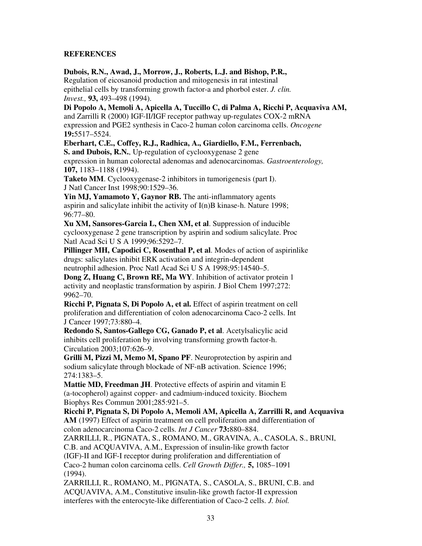# **REFERENCES**

**Dubois, R.N., Awad, J., Morrow, J., Roberts, L.J. and Bishop, P.R.,** 

Regulation of eicosanoid production and mitogenesis in rat intestinal epithelial cells by transforming growth factor-a and phorbol ester. *J. clin. Invest.,* **93,** 493–498 (1994).

**Di Popolo A, Memoli A, Apicella A, Tuccillo C, di Palma A, Ricchi P, Acquaviva AM,**  and Zarrilli R (2000) IGF-II/IGF receptor pathway up-regulates COX-2 mRNA expression and PGE2 synthesis in Caco-2 human colon carcinoma cells. *Oncogene*  **19:**5517–5524.

**Eberhart, C.E., Coffey, R.J., Radhica, A., Giardiello, F.M., Ferrenbach,** 

**S. and Dubois, R.N.**, Up-regulation of cyclooxygenase 2 gene expression in human colorectal adenomas and adenocarcinomas. *Gastroenterology,*  **107,** 1183–1188 (1994).

**Taketo MM**. Cyclooxygenase-2 inhibitors in tumorigenesis (part I). J Natl Cancer Inst 1998;90:1529–36.

**Yin MJ, Yamamoto Y, Gaynor RB.** The anti-inflammatory agents aspirin and salicylate inhibit the activity of I(n)B kinase-h. Nature 1998; 96:77–80.

**Xu XM, Sansores-Garcia L, Chen XM, et al**. Suppression of inducible cyclooxygenase 2 gene transcription by aspirin and sodium salicylate. Proc Natl Acad Sci U S A 1999;96:5292–7.

**Pillinger MH, Capodici C, Rosenthal P, et al**. Modes of action of aspirinlike drugs: salicylates inhibit ERK activation and integrin-dependent neutrophil adhesion. Proc Natl Acad Sci U S A 1998;95:14540–5.

**Dong Z, Huang C, Brown RE, Ma WY**. Inhibition of activator protein 1 activity and neoplastic transformation by aspirin. J Biol Chem 1997;272: 9962–70.

**Ricchi P, Pignata S, Di Popolo A, et al.** Effect of aspirin treatment on cell proliferation and differentiation of colon adenocarcinoma Caco-2 cells. Int J Cancer 1997;73:880–4.

**Redondo S, Santos-Gallego CG, Ganado P, et al**. Acetylsalicylic acid inhibits cell proliferation by involving transforming growth factor-h. Circulation 2003;107:626–9.

**Grilli M, Pizzi M, Memo M, Spano PF**. Neuroprotection by aspirin and sodium salicylate through blockade of NF-nB activation. Science 1996; 274:1383–5.

**Mattie MD, Freedman JH**. Protective effects of aspirin and vitamin E (a-tocopherol) against copper- and cadmium-induced toxicity. Biochem Biophys Res Commun 2001;285:921–5.

**Ricchi P, Pignata S, Di Popolo A, Memoli AM, Apicella A, Zarrilli R, and Acquaviva AM** (1997) Effect of aspirin treatment on cell proliferation and differentiation of colon adenocarcinoma Caco-2 cells. *Int J Cancer* **73:**880–884. ZARRILLI, R., PIGNATA, S., ROMANO, M., GRAVINA, A., CASOLA, S., BRUNI, C.B. and ACQUAVIVA, A.M., Expression of insulin-like growth factor (IGF)-II and IGF-I receptor during proliferation and differentiation of Caco-2 human colon carcinoma cells. *Cell Growth Differ.,* **5,** 1085–1091 (1994). ZARRILLI, R., ROMANO, M., PIGNATA, S., CASOLA, S., BRUNI, C.B. and ACQUAVIVA, A.M., Constitutive insulin-like growth factor-II expression

interferes with the enterocyte-like differentiation of Caco-2 cells. *J. biol.*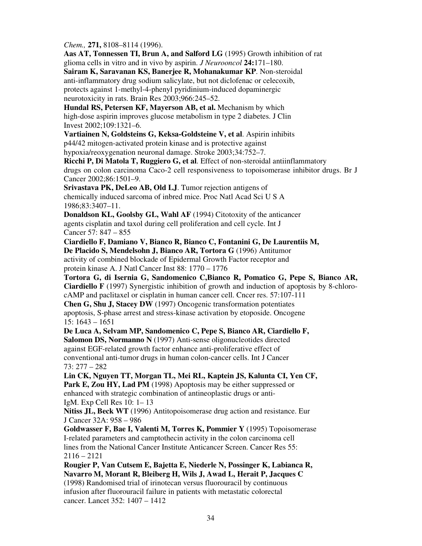*Chem.,* **271,** 8108–8114 (1996).

**Aas AT, Tonnessen TI, Brun A, and Salford LG** (1995) Growth inhibition of rat glioma cells in vitro and in vivo by aspirin. *J Neurooncol* **24:**171–180.

**Sairam K, Saravanan KS, Banerjee R, Mohanakumar KP**. Non-steroidal anti-inflammatory drug sodium salicylate, but not diclofenac or celecoxib, protects against 1-methyl-4-phenyl pyridinium-induced dopaminergic neurotoxicity in rats. Brain Res 2003;966:245–52.

**Hundal RS, Petersen KF, Mayerson AB, et al.** Mechanism by which high-dose aspirin improves glucose metabolism in type 2 diabetes. J Clin Invest 2002;109:1321–6.

**Vartiainen N, Goldsteins G, Keksa-Goldsteine V, et al**. Aspirin inhibits p44/42 mitogen-activated protein kinase and is protective against hypoxia/reoxygenation neuronal damage. Stroke 2003;34:752–7.

**Ricchi P, Di Matola T, Ruggiero G, et al**. Effect of non-steroidal antiinflammatory drugs on colon carcinoma Caco-2 cell responsiveness to topoisomerase inhibitor drugs. Br J Cancer 2002;86:1501–9.

**Srivastava PK, DeLeo AB, Old LJ**. Tumor rejection antigens of chemically induced sarcoma of inbred mice. Proc Natl Acad Sci U S A 1986;83:3407–11.

**Donaldson KL, Goolsby GL, Wahl AF** (1994) Citotoxity of the anticancer agents cisplatin and taxol during cell proliferation and cell cycle. Int J Cancer 57: 847 – 855

**Ciardiello F, Damiano V, Bianco R, Bianco C, Fontanini G, De Laurentiis M, De Placido S, Mendelsohn J, Bianco AR, Tortora G** (1996) Antitumor activity of combined blockade of Epidermal Growth Factor receptor and protein kinase A. J Natl Cancer Inst 88: 1770 – 1776

**Tortora G, di Isernia G, Sandomenico C,Bianco R, Pomatico G, Pepe S, Bianco AR, Ciardiello F** (1997) Synergistic inhibition of growth and induction of apoptosis by 8-chlorocAMP and paclitaxel or cisplatin in human cancer cell. Cncer res. 57:107-111 **Chen G, Shu J, Stacey DW** (1997) Oncogenic transformation potentiates apoptosis, S-phase arrest and stress-kinase activation by etoposide. Oncogene 15: 1643 – 1651

**De Luca A, Selvam MP, Sandomenico C, Pepe S, Bianco AR, Ciardiello F, Salomon DS, Normanno N** (1997) Anti-sense oligonucleotides directed against EGF-related growth factor enhance anti-proliferative effect of conventional anti-tumor drugs in human colon-cancer cells. Int J Cancer 73: 277 – 282

**Lin CK, Nguyen TT, Morgan TL, Mei RL, Kaptein JS, Kalunta CI, Yen CF,**  Park E, Zou HY, Lad PM (1998) Apoptosis may be either suppressed or enhanced with strategic combination of antineoplastic drugs or anti-IgM. Exp Cell Res 10: 1– 13

**Nitiss JL, Beck WT** (1996) Antitopoisomerase drug action and resistance. Eur J Cancer 32A: 958 – 986

**Goldwasser F, Bae I, Valenti M, Torres K, Pommier Y** (1995) Topoisomerase I-related parameters and camptothecin activity in the colon carcinoma cell lines from the National Cancer Institute Anticancer Screen. Cancer Res 55: 2116 – 2121

**Rougier P, Van Cutsem E, Bajetta E, Niederle N, Possinger K, Labianca R, Navarro M, Morant R, Bleiberg H, Wils J, Awad L, Herait P, Jacques C** (1998) Randomised trial of irinotecan versus fluorouracil by continuous infusion after fluorouracil failure in patients with metastatic colorectal cancer. Lancet 352: 1407 – 1412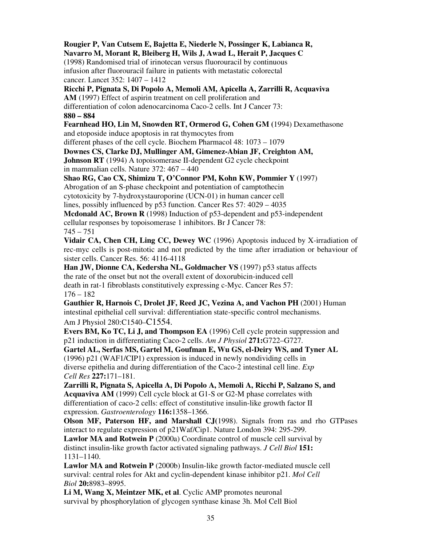**Rougier P, Van Cutsem E, Bajetta E, Niederle N, Possinger K, Labianca R, Navarro M, Morant R, Bleiberg H, Wils J, Awad L, Herait P, Jacques C**  (1998) Randomised trial of irinotecan versus fluorouracil by continuous infusion after fluorouracil failure in patients with metastatic colorectal cancer. Lancet 352: 1407 – 1412 **Ricchi P, Pignata S, Di Popolo A, Memoli AM, Apicella A, Zarrilli R, Acquaviva AM** (1997) Effect of aspirin treatment on cell proliferation and differentiation of colon adenocarcinoma Caco-2 cells. Int J Cancer 73: **880 – 884 Fearnhead HO, Lin M, Snowden RT, Ormerod G, Cohen GM (**1994) Dexamethasone and etoposide induce apoptosis in rat thymocytes from different phases of the cell cycle. Biochem Pharmacol 48: 1073 – 1079 **Downes CS, Clarke DJ, Mullinger AM, Gimenez-Abian JF, Creighton AM, Johnson RT** (1994) A topoisomerase II-dependent G2 cycle checkpoint in mammalian cells. Nature 372: 467 – 440 **Shao RG, Cao CX, Shimizu T, O'Connor PM, Kohn KW, Pommier Y** (1997) Abrogation of an S-phase checkpoint and potentiation of camptothecin cytotoxicity by 7-hydroxystauroporine (UCN-01) in human cancer cell lines, possibly influenced by p53 function. Cancer Res 57: 4029 – 4035 **Mcdonald AC, Brown R** (1998) Induction of p53-dependent and p53-independent cellular responses by topoisomerase 1 inhibitors. Br J Cancer 78:  $745 - 751$ **Vidair CA, Chen CH, Ling CC, Dewey WC** (1996) Apoptosis induced by X-irradiation of rec-myc cells is post-mitotic and not predicted by the time after irradiation or behaviour of sister cells. Cancer Res. 56: 4116-4118 **Han JW, Dionne CA, Kedersha NL, Goldmacher VS** (1997) p53 status affects the rate of the onset but not the overall extent of doxorubicin-induced cell death in rat-1 fibroblasts constitutively expressing c-Myc. Cancer Res 57:  $176 - 182$ **Gauthier R, Harnois C, Drolet JF, Reed JC, Vezina A, and Vachon PH** (2001) Human intestinal epithelial cell survival: differentiation state-specific control mechanisms. Am J Physiol 280:C1540–C1554. **Evers BM, Ko TC, Li J, and Thompson EA** (1996) Cell cycle protein suppression and p21 induction in differentiating Caco-2 cells. *Am J Physiol* **271:**G722–G727. **Gartel AL, Serfas MS, Gartel M, Goufman E, Wu GS, el-Deiry WS, and Tyner AL** 

(1996) p21 (WAF1/CIP1) expression is induced in newly nondividing cells in diverse epithelia and during differentiation of the Caco-2 intestinal cell line. *Exp Cell Res* **227:**171–181.

**Zarrilli R, Pignata S, Apicella A, Di Popolo A, Memoli A, Ricchi P, Salzano S, and Acquaviva AM** (1999) Cell cycle block at G1-S or G2-M phase correlates with differentiation of caco-2 cells: effect of constitutive insulin-like growth factor II expression. *Gastroenterology* **116:**1358–1366.

**Olson MF, Paterson HF, and Marshall CJ(**1998). Signals from ras and rho GTPases interact to regulate expression of p21Waf/Cip1. Nature London 394: 295-299.

**Lawlor MA and Rotwein P** (2000a) Coordinate control of muscle cell survival by distinct insulin-like growth factor activated signaling pathways. *J Cell Biol* **151:**  1131–1140.

**Lawlor MA and Rotwein P** (2000b) Insulin-like growth factor-mediated muscle cell survival: central roles for Akt and cyclin-dependent kinase inhibitor p21. *Mol Cell Biol* **20:**8983–8995.

**Li M, Wang X, Meintzer MK, et al**. Cyclic AMP promotes neuronal survival by phosphorylation of glycogen synthase kinase 3h. Mol Cell Biol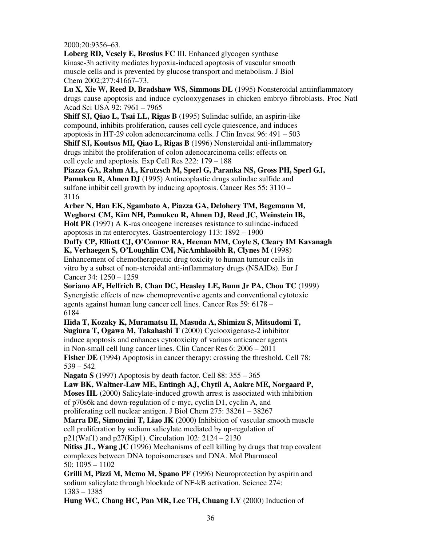2000;20:9356–63.

**Loberg RD, Vesely E, Brosius FC** III. Enhanced glycogen synthase kinase-3h activity mediates hypoxia-induced apoptosis of vascular smooth muscle cells and is prevented by glucose transport and metabolism. J Biol Chem 2002;277:41667–73.

**Lu X, Xie W, Reed D, Bradshaw WS, Simmons DL** (1995) Nonsteroidal antiinflammatory drugs cause apoptosis and induce cyclooxygenases in chicken embryo fibroblasts. Proc Natl Acad Sci USA 92: 7961 – 7965

**Shiff SJ, Qiao L, Tsai LL, Rigas B** (1995) Sulindac sulfide, an aspirin-like compound, inhibits proliferation, causes cell cycle quiescence, and induces apoptosis in HT-29 colon adenocarcinoma cells. J Clin Invest 96: 491 – 503

**Shiff SJ, Koutsos MI, Qiao L, Rigas B** (1996) Nonsteroidal anti-inflammatory drugs inhibit the proliferation of colon adenocarcinoma cells: effects on cell cycle and apoptosis. Exp Cell Res 222: 179 – 188

**Piazza GA, Rahm AL, Krutzsch M, Sperl G, Paranka NS, Gross PH, Sperl GJ, Pamukcu R, Ahnen DJ** (1995) Antineoplastic drugs sulindac sulfide and sulfone inhibit cell growth by inducing apoptosis. Cancer Res 55: 3110 – 3116

**Arber N, Han EK, Sgambato A, Piazza GA, Delohery TM, Begemann M, Weghorst CM, Kim NH, Pamukcu R, Ahnen DJ, Reed JC, Weinstein IB, Holt PR** (1997) A K-ras oncogene increases resistance to sulindac-induced apoptosis in rat enterocytes. Gastroenterology 113: 1892 – 1900

**Duffy CP, Elliott CJ, O'Connor RA, Heenan MM, Coyle S, Cleary IM Kavanagh K, Verhaegen S, O'Loughlin CM, NicAmhlaoibh R, Clynes M** (1998) Enhancement of chemotherapeutic drug toxicity to human tumour cells in vitro by a subset of non-steroidal anti-inflammatory drugs (NSAIDs). Eur J Cancer 34: 1250 – 1259

**Soriano AF, Helfrich B, Chan DC, Heasley LE, Bunn Jr PA, Chou TC** (1999) Synergistic effects of new chemopreventive agents and conventional cytotoxic agents against human lung cancer cell lines. Cancer Res 59: 6178 – 6184

**Hida T, Kozaky K, Muramatsu H, Masuda A, Shimizu S, Mitsudomi T, Sugiura T, Ogawa M, Takahashi T** (2000) Cyclooxigenase-2 inhibitor induce apoptosis and enhances cytotoxicity of variuos anticancer agents in Non-small cell lung cancer lines. Clin Cancer Res 6: 2006 – 2011 **Fisher DE** (1994) Apoptosis in cancer therapy: crossing the threshold. Cell 78: 539 – 542

**Nagata S** (1997) Apoptosis by death factor. Cell 88: 355 – 365

**Law BK, Waltner-Law ME, Entingh AJ, Chytil A, Aakre ME, Norgaard P, Moses HL** (2000) Salicylate-induced growth arrest is associated with inhibition of p70s6k and down-regulation of c-myc, cyclin D1, cyclin A, and proliferating cell nuclear antigen. J Biol Chem 275: 38261 – 38267

**Marra DE, Simoncini T, Liao JK** (2000) Inhibition of vascular smooth muscle cell proliferation by sodium salicylate mediated by up-regulation of p21(Waf1) and p27(Kip1). Circulation 102: 2124 – 2130

**Nitiss JL, Wang JC (**1996) Mechanisms of cell killing by drugs that trap covalent complexes between DNA topoisomerases and DNA. Mol Pharmacol 50: 1095 – 1102

**Grilli M, Pizzi M, Memo M, Spano PF** (1996) Neuroprotection by aspirin and sodium salicylate through blockade of NF-kB activation. Science 274: 1383 – 1385

**Hung WC, Chang HC, Pan MR, Lee TH, Chuang LY** (2000) Induction of